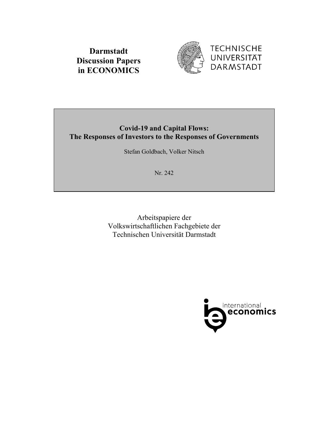



# **Covid-19 and Capital Flows: The Responses of Investors to the Responses of Governments**

Stefan Goldbach, Volker Nitsch

Nr. 242

Arbeitspapiere der Volkswirtschaftlichen Fachgebiete der Technischen Universität Darmstadt

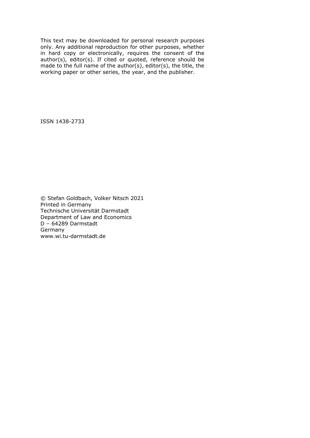This text may be downloaded for personal research purposes only. Any additional reproduction for other purposes, whether in hard copy or electronically, requires the consent of the author(s), editor(s). If cited or quoted, reference should be made to the full name of the author(s), editor(s), the title, the working paper or other series, the year, and the publisher.

ISSN 1438-2733

© Stefan Goldbach, Volker Nitsch 2021 Printed in Germany Technische Universität Darmstadt Department of Law and Economics D – 64289 Darmstadt Germany www.wi.tu-darmstadt.de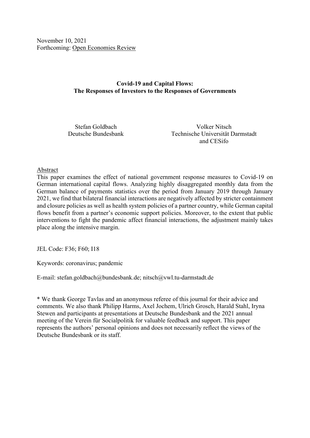November 10, 2021 Forthcoming: Open Economies Review

# **Covid-19 and Capital Flows: The Responses of Investors to the Responses of Governments**

Stefan Goldbach Volker Nitsch Deutsche Bundesbank Technische Universität Darmstadt and CESifo

### Abstract

This paper examines the effect of national government response measures to Covid-19 on German international capital flows. Analyzing highly disaggregated monthly data from the German balance of payments statistics over the period from January 2019 through January 2021, we find that bilateral financial interactions are negatively affected by stricter containment and closure policies as well as health system policies of a partner country, while German capital flows benefit from a partner's economic support policies. Moreover, to the extent that public interventions to fight the pandemic affect financial interactions, the adjustment mainly takes place along the intensive margin.

JEL Code: F36; F60; I18

Keywords: coronavirus; pandemic

E-mail: stefan.goldbach@bundesbank.de; nitsch@vwl.tu-darmstadt.de

\* We thank George Tavlas and an anonymous referee of this journal for their advice and comments. We also thank Philipp Harms, Axel Jochem, Ulrich Grosch, Harald Stahl, Iryna Stewen and participants at presentations at Deutsche Bundesbank and the 2021 annual meeting of the Verein für Socialpolitik for valuable feedback and support. This paper represents the authors' personal opinions and does not necessarily reflect the views of the Deutsche Bundesbank or its staff.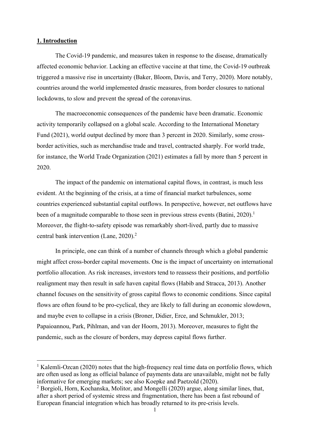### **1. Introduction**

The Covid-19 pandemic, and measures taken in response to the disease, dramatically affected economic behavior. Lacking an effective vaccine at that time, the Covid-19 outbreak triggered a massive rise in uncertainty (Baker, Bloom, Davis, and Terry, 2020). More notably, countries around the world implemented drastic measures, from border closures to national lockdowns, to slow and prevent the spread of the coronavirus.

The macroeconomic consequences of the pandemic have been dramatic. Economic activity temporarily collapsed on a global scale. According to the International Monetary Fund (2021), world output declined by more than 3 percent in 2020. Similarly, some crossborder activities, such as merchandise trade and travel, contracted sharply. For world trade, for instance, the World Trade Organization (2021) estimates a fall by more than 5 percent in 2020.

The impact of the pandemic on international capital flows, in contrast, is much less evident. At the beginning of the crisis, at a time of financial market turbulences, some countries experienced substantial capital outflows. In perspective, however, net outflows have been of a magnitude comparable to those seen in previous stress events (Batini, 2020).<sup>1</sup> Moreover, the flight-to-safety episode was remarkably short-lived, partly due to massive central bank intervention (Lane, 2020).<sup>2</sup>

In principle, one can think of a number of channels through which a global pandemic might affect cross-border capital movements. One is the impact of uncertainty on international portfolio allocation. As risk increases, investors tend to reassess their positions, and portfolio realignment may then result in safe haven capital flows (Habib and Stracca, 2013). Another channel focuses on the sensitivity of gross capital flows to economic conditions. Since capital flows are often found to be pro-cyclical, they are likely to fall during an economic slowdown, and maybe even to collapse in a crisis (Broner, Didier, Erce, and Schmukler, 2013; Papaioannou, Park, Pihlman, and van der Hoorn, 2013). Moreover, measures to fight the pandemic, such as the closure of borders, may depress capital flows further.

<sup>&</sup>lt;sup>1</sup> Kalemli-Ozcan (2020) notes that the high-frequency real time data on portfolio flows, which are often used as long as official balance of payments data are unavailable, might not be fully informative for emerging markets; see also Koepke and Paetzold (2020).

<sup>&</sup>lt;sup>2</sup> Borgioli, Horn, Kochanska, Molitor, and Mongelli (2020) argue, along similar lines, that, after a short period of systemic stress and fragmentation, there has been a fast rebound of European financial integration which has broadly returned to its pre-crisis levels.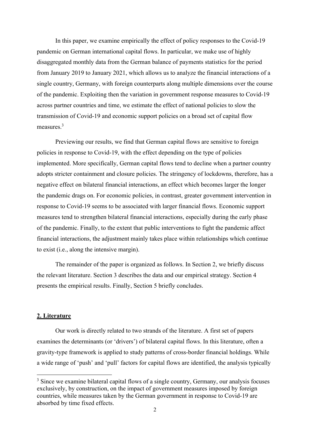In this paper, we examine empirically the effect of policy responses to the Covid-19 pandemic on German international capital flows. In particular, we make use of highly disaggregated monthly data from the German balance of payments statistics for the period from January 2019 to January 2021, which allows us to analyze the financial interactions of a single country, Germany, with foreign counterparts along multiple dimensions over the course of the pandemic. Exploiting then the variation in government response measures to Covid-19 across partner countries and time, we estimate the effect of national policies to slow the transmission of Covid-19 and economic support policies on a broad set of capital flow measures.3

Previewing our results, we find that German capital flows are sensitive to foreign policies in response to Covid-19, with the effect depending on the type of policies implemented. More specifically, German capital flows tend to decline when a partner country adopts stricter containment and closure policies. The stringency of lockdowns, therefore, has a negative effect on bilateral financial interactions, an effect which becomes larger the longer the pandemic drags on. For economic policies, in contrast, greater government intervention in response to Covid-19 seems to be associated with larger financial flows. Economic support measures tend to strengthen bilateral financial interactions, especially during the early phase of the pandemic. Finally, to the extent that public interventions to fight the pandemic affect financial interactions, the adjustment mainly takes place within relationships which continue to exist (i.e., along the intensive margin).

The remainder of the paper is organized as follows. In Section 2, we briefly discuss the relevant literature. Section 3 describes the data and our empirical strategy. Section 4 presents the empirical results. Finally, Section 5 briefly concludes.

#### **2. Literature**

Our work is directly related to two strands of the literature. A first set of papers examines the determinants (or 'drivers') of bilateral capital flows. In this literature, often a gravity-type framework is applied to study patterns of cross-border financial holdings. While a wide range of 'push' and 'pull' factors for capital flows are identified, the analysis typically

 $3$  Since we examine bilateral capital flows of a single country, Germany, our analysis focuses exclusively, by construction, on the impact of government measures imposed by foreign countries, while measures taken by the German government in response to Covid-19 are absorbed by time fixed effects.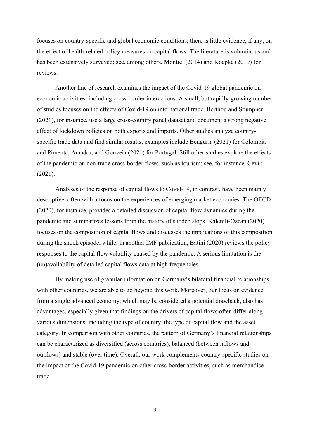focuses on country-specific and global economic conditions; there is little evidence, if any, on the effect of health-related policy measures on capital flows. The literature is voluminous and has been extensively surveyed; see, among others, Montiel (2014) and Koepke (2019) for reviews.

Another line of research examines the impact of the Covid-19 global pandemic on economic activities, including cross-border interactions. A small, but rapidly-growing number of studies focuses on the effects of Covid-19 on international trade. Berthou and Stumpner (2021), for instance, use a large cross-country panel dataset and document a strong negative effect of lockdown policies on both exports and imports. Other studies analyze countryspecific trade data and find similar results; examples include Benguria (2021) for Colombia and Pimenta, Amador, and Gouveia (2021) for Portugal. Still other studies explore the effects of the pandemic on non-trade cross-border flows, such as tourism; see, for instance, Cevik (2021).

Analyses of the response of capital flows to Covid-19, in contrast, have been mainly descriptive, often with a focus on the experiences of emerging market economies. The OECD (2020), for instance, provides a detailed discussion of capital flow dynamics during the pandemic and summarizes lessons from the history of sudden stops. Kalemli-Ozcan (2020) focuses on the composition of capital flows and discusses the implications of this composition during the shock episode, while, in another IMF publication, Batini (2020) reviews the policy responses to the capital flow volatility caused by the pandemic. A serious limitation is the (un)availability of detailed capital flows data at high frequencies.

By making use of granular information on Germany's bilateral financial relationships with other countries, we are able to go beyond this work. Moreover, our focus on evidence from a single advanced economy, which may be considered a potential drawback, also has advantages, especially given that findings on the drivers of capital flows often differ along various dimensions, including the type of country, the type of capital flow and the asset category. In comparison with other countries, the pattern of Germany's financial relationships can be characterized as diversified (across countries), balanced (between inflows and outflows) and stable (over time). Overall, our work complements country-specific studies on the impact of the Covid-19 pandemic on other cross-border activities, such as merchandise trade.

3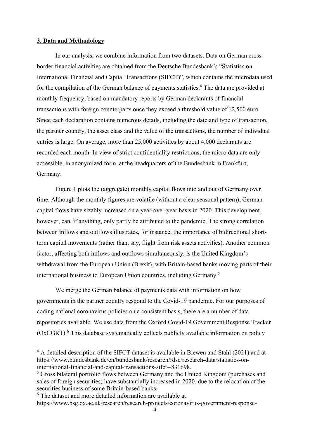#### **3. Data and Methodology**

In our analysis, we combine information from two datasets. Data on German crossborder financial activities are obtained from the Deutsche Bundesbank's "Statistics on International Financial and Capital Transactions (SIFCT)", which contains the microdata used for the compilation of the German balance of payments statistics.<sup>4</sup> The data are provided at monthly frequency, based on mandatory reports by German declarants of financial transactions with foreign counterparts once they exceed a threshold value of 12,500 euro. Since each declaration contains numerous details, including the date and type of transaction, the partner country, the asset class and the value of the transactions, the number of individual entries is large. On average, more than 25,000 activities by about 4,000 declarants are recorded each month. In view of strict confidentiality restrictions, the micro data are only accessible, in anonymized form, at the headquarters of the Bundesbank in Frankfurt, Germany.

Figure 1 plots the (aggregate) monthly capital flows into and out of Germany over time. Although the monthly figures are volatile (without a clear seasonal pattern), German capital flows have sizably increased on a year-over-year basis in 2020. This development, however, can, if anything, only partly be attributed to the pandemic. The strong correlation between inflows and outflows illustrates, for instance, the importance of bidirectional shortterm capital movements (rather than, say, flight from risk assets activities). Another common factor, affecting both inflows and outflows simultaneously, is the United Kingdom's withdrawal from the European Union (Brexit), with Britain-based banks moving parts of their international business to European Union countries, including Germany.5

We merge the German balance of payments data with information on how governments in the partner country respond to the Covid-19 pandemic. For our purposes of coding national coronavirus policies on a consistent basis, there are a number of data repositories available. We use data from the Oxford Covid-19 Government Response Tracker (OxCGRT).<sup>6</sup> This database systematically collects publicly available information on policy

 $4$  A detailed description of the SIFCT dataset is available in Biewen and Stahl (2021) and at https://www.bundesbank.de/en/bundesbank/research/rdsc/research-data/statistics-oninternational-financial-and-capital-transactions-sifct--831698.

<sup>&</sup>lt;sup>5</sup> Gross bilateral portfolio flows between Germany and the United Kingdom (purchases and sales of foreign securities) have substantially increased in 2020, due to the relocation of the securities business of some Britain-based banks.

<sup>6</sup> The dataset and more detailed information are available at https://www.bsg.ox.ac.uk/research/research-projects/coronavirus-government-response-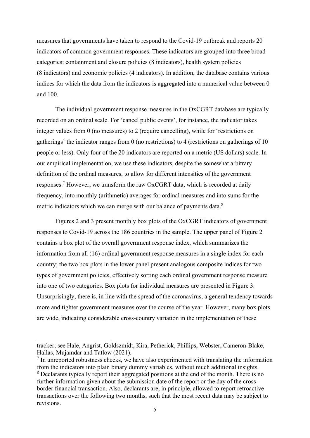measures that governments have taken to respond to the Covid-19 outbreak and reports 20 indicators of common government responses. These indicators are grouped into three broad categories: containment and closure policies (8 indicators), health system policies (8 indicators) and economic policies (4 indicators). In addition, the database contains various indices for which the data from the indicators is aggregated into a numerical value between 0 and 100.

The individual government response measures in the OxCGRT database are typically recorded on an ordinal scale. For 'cancel public events', for instance, the indicator takes integer values from 0 (no measures) to 2 (require cancelling), while for 'restrictions on gatherings' the indicator ranges from 0 (no restrictions) to 4 (restrictions on gatherings of 10 people or less). Only four of the 20 indicators are reported on a metric (US dollars) scale. In our empirical implementation, we use these indicators, despite the somewhat arbitrary definition of the ordinal measures, to allow for different intensities of the government responses.<sup>7</sup> However, we transform the raw OxCGRT data, which is recorded at daily frequency, into monthly (arithmetic) averages for ordinal measures and into sums for the metric indicators which we can merge with our balance of payments data. $8$ 

Figures 2 and 3 present monthly box plots of the OxCGRT indicators of government responses to Covid-19 across the 186 countries in the sample. The upper panel of Figure 2 contains a box plot of the overall government response index, which summarizes the information from all (16) ordinal government response measures in a single index for each country; the two box plots in the lower panel present analogous composite indices for two types of government policies, effectively sorting each ordinal government response measure into one of two categories. Box plots for individual measures are presented in Figure 3. Unsurprisingly, there is, in line with the spread of the coronavirus, a general tendency towards more and tighter government measures over the course of the year. However, many box plots are wide, indicating considerable cross-country variation in the implementation of these

tracker; see Hale, Angrist, Goldszmidt, Kira, Petherick, Phillips, Webster, Cameron-Blake, Hallas, Mujamdar and Tatlow (2021).

 $<sup>7</sup>$  In unreported robustness checks, we have also experimented with translating the information</sup> from the indicators into plain binary dummy variables, without much additional insights. <sup>8</sup> Declarants typically report their aggregated positions at the end of the month. There is no further information given about the submission date of the report or the day of the crossborder financial transaction. Also, declarants are, in principle, allowed to report retroactive transactions over the following two months, such that the most recent data may be subject to revisions.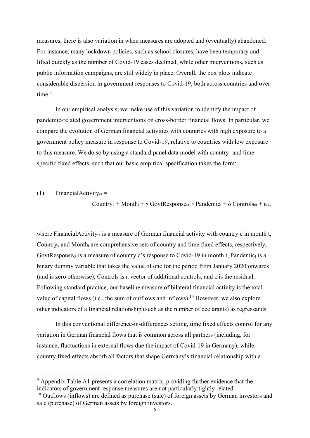measures; there is also variation in when measures are adopted and (eventually) abandoned. For instance, many lockdown policies, such as school closures, have been temporary and lifted quickly as the number of Covid-19 cases declined, while other interventions, such as public information campaigns, are still widely in place. Overall, the box plots indicate considerable dispersion in government responses to Covid-19, both across countries and over time.<sup>9</sup>

In our empirical analysis, we make use of this variation to identify the impact of pandemic-related government interventions on cross-border financial flows. In particular, we compare the evolution of German financial activities with countries with high exposure to a government policy measure in response to Covid-19, relative to countries with low exposure to this measure. We do so by using a standard panel data model with country- and timespecific fixed effects, such that our basic empirical specification takes the form:

#### $(1)$  FinancialActivity<sub>ct</sub> =

Country<sub>c</sub> + Month<sub>t</sub> +  $\gamma$  GovtResponse<sub>ct</sub> × Pandemic<sub>t</sub> +  $\delta$  Controls<sub>ct</sub> +  $\epsilon$ <sub>ct</sub>,

where FinancialActivity<sub>ct</sub> is a measure of German financial activity with country c in month t, Countryc and Montht are comprehensive sets of country and time fixed effects, respectively, GovtResponse<sub>ct</sub> is a measure of country c's response to Covid-19 in month t, Pandemic<sub>t</sub> is a binary dummy variable that takes the value of one for the period from January 2020 onwards (and is zero otherwise), Controls is a vector of additional controls, and ε is the residual. Following standard practice, our baseline measure of bilateral financial activity is the total value of capital flows (i.e., the sum of outflows and inflows).<sup>10</sup> However, we also explore other indicators of a financial relationship (such as the number of declarants) as regressands.

In this conventional difference-in-differences setting, time fixed effects control for any variation in German financial flows that is common across all partners (including, for instance, fluctuations in external flows due the impact of Covid-19 in Germany), while country fixed effects absorb all factors that shape Germany's financial relationship with a

 $9$  Appendix Table A1 presents a correlation matrix, providing further evidence that the indicators of government response measures are not particularly tightly related.

 $10$  Outflows (inflows) are defined as purchase (sale) of foreign assets by German investors and sale (purchase) of German assets by foreign investors.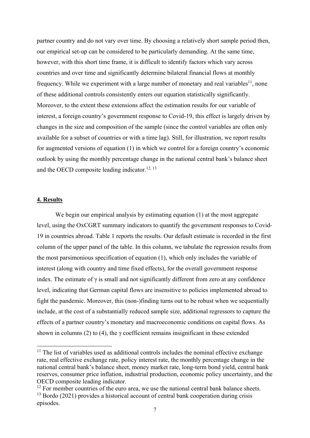partner country and do not vary over time. By choosing a relatively short sample period then, our empirical set-up can be considered to be particularly demanding. At the same time, however, with this short time frame, it is difficult to identify factors which vary across countries and over time and significantly determine bilateral financial flows at monthly frequency. While we experiment with a large number of monetary and real variables<sup>11</sup>, none of these additional controls consistently enters our equation statistically significantly. Moreover, to the extent these extensions affect the estimation results for our variable of interest, a foreign country's government response to Covid-19, this effect is largely driven by changes in the size and composition of the sample (since the control variables are often only available for a subset of countries or with a time lag). Still, for illustration, we report results for augmented versions of equation (1) in which we control for a foreign country's economic outlook by using the monthly percentage change in the national central bank's balance sheet and the OECD composite leading indicator.<sup>12, 13</sup>

## **4. Results**

We begin our empirical analysis by estimating equation (1) at the most aggregate level, using the OxCGRT summary indicators to quantify the government responses to Covid-19 in countries abroad. Table 1 reports the results. Our default estimate is recorded in the first column of the upper panel of the table. In this column, we tabulate the regression results from the most parsimonious specification of equation (1), which only includes the variable of interest (along with country and time fixed effects), for the overall government response index. The estimate of  $\gamma$  is small and not significantly different from zero at any confidence level, indicating that German capital flows are insensitive to policies implemented abroad to fight the pandemic. Moreover, this (non-)finding turns out to be robust when we sequentially include, at the cost of a substantially reduced sample size, additional regressors to capture the effects of a partner country's monetary and macroeconomic conditions on capital flows. As shown in columns (2) to (4), the  $\gamma$  coefficient remains insignificant in these extended

 $11$  The list of variables used as additional controls includes the nominal effective exchange rate, real effective exchange rate, policy interest rate, the monthly percentage change in the national central bank's balance sheet, money market rate, long-term bond yield, central bank reserves, consumer price inflation, industrial production, economic policy uncertainty, and the OECD composite leading indicator.

 $12$  For member countries of the euro area, we use the national central bank balance sheets.

 $13$  Bordo (2021) provides a historical account of central bank cooperation during crisis episodes.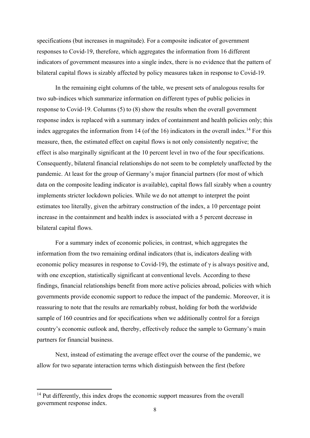specifications (but increases in magnitude). For a composite indicator of government responses to Covid-19, therefore, which aggregates the information from 16 different indicators of government measures into a single index, there is no evidence that the pattern of bilateral capital flows is sizably affected by policy measures taken in response to Covid-19.

In the remaining eight columns of the table, we present sets of analogous results for two sub-indices which summarize information on different types of public policies in response to Covid-19. Columns (5) to (8) show the results when the overall government response index is replaced with a summary index of containment and health policies only; this index aggregates the information from 14 (of the 16) indicators in the overall index.<sup>14</sup> For this measure, then, the estimated effect on capital flows is not only consistently negative; the effect is also marginally significant at the 10 percent level in two of the four specifications. Consequently, bilateral financial relationships do not seem to be completely unaffected by the pandemic. At least for the group of Germany's major financial partners (for most of which data on the composite leading indicator is available), capital flows fall sizably when a country implements stricter lockdown policies. While we do not attempt to interpret the point estimates too literally, given the arbitrary construction of the index, a 10 percentage point increase in the containment and health index is associated with a 5 percent decrease in bilateral capital flows.

For a summary index of economic policies, in contrast, which aggregates the information from the two remaining ordinal indicators (that is, indicators dealing with economic policy measures in response to Covid-19), the estimate of  $\gamma$  is always positive and, with one exception, statistically significant at conventional levels. According to these findings, financial relationships benefit from more active policies abroad, policies with which governments provide economic support to reduce the impact of the pandemic. Moreover, it is reassuring to note that the results are remarkably robust, holding for both the worldwide sample of 160 countries and for specifications when we additionally control for a foreign country's economic outlook and, thereby, effectively reduce the sample to Germany's main partners for financial business.

Next, instead of estimating the average effect over the course of the pandemic, we allow for two separate interaction terms which distinguish between the first (before

<sup>&</sup>lt;sup>14</sup> Put differently, this index drops the economic support measures from the overall government response index.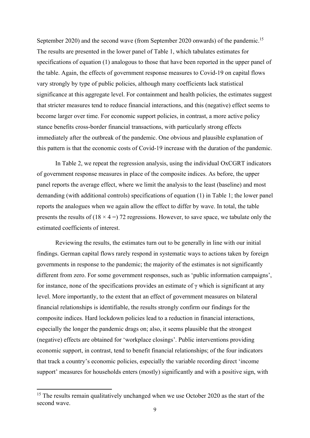September 2020) and the second wave (from September 2020 onwards) of the pandemic.<sup>15</sup> The results are presented in the lower panel of Table 1, which tabulates estimates for specifications of equation (1) analogous to those that have been reported in the upper panel of the table. Again, the effects of government response measures to Covid-19 on capital flows vary strongly by type of public policies, although many coefficients lack statistical significance at this aggregate level. For containment and health policies, the estimates suggest that stricter measures tend to reduce financial interactions, and this (negative) effect seems to become larger over time. For economic support policies, in contrast, a more active policy stance benefits cross-border financial transactions, with particularly strong effects immediately after the outbreak of the pandemic. One obvious and plausible explanation of this pattern is that the economic costs of Covid-19 increase with the duration of the pandemic.

In Table 2, we repeat the regression analysis, using the individual OxCGRT indicators of government response measures in place of the composite indices. As before, the upper panel reports the average effect, where we limit the analysis to the least (baseline) and most demanding (with additional controls) specifications of equation (1) in Table 1; the lower panel reports the analogues when we again allow the effect to differ by wave. In total, the table presents the results of  $(18 \times 4 = 72)$  regressions. However, to save space, we tabulate only the estimated coefficients of interest.

Reviewing the results, the estimates turn out to be generally in line with our initial findings. German capital flows rarely respond in systematic ways to actions taken by foreign governments in response to the pandemic; the majority of the estimates is not significantly different from zero. For some government responses, such as 'public information campaigns', for instance, none of the specifications provides an estimate of  $\gamma$  which is significant at any level. More importantly, to the extent that an effect of government measures on bilateral financial relationships is identifiable, the results strongly confirm our findings for the composite indices. Hard lockdown policies lead to a reduction in financial interactions, especially the longer the pandemic drags on; also, it seems plausible that the strongest (negative) effects are obtained for 'workplace closings'. Public interventions providing economic support, in contrast, tend to benefit financial relationships; of the four indicators that track a country's economic policies, especially the variable recording direct 'income support' measures for households enters (mostly) significantly and with a positive sign, with

<sup>&</sup>lt;sup>15</sup> The results remain qualitatively unchanged when we use October 2020 as the start of the second wave.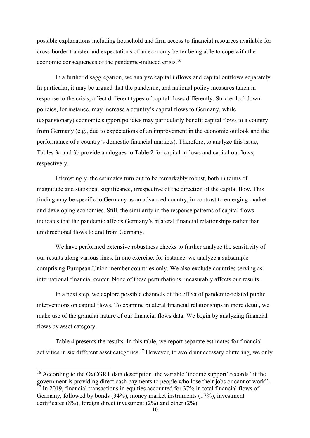possible explanations including household and firm access to financial resources available for cross-border transfer and expectations of an economy better being able to cope with the economic consequences of the pandemic-induced crisis.16

In a further disaggregation, we analyze capital inflows and capital outflows separately. In particular, it may be argued that the pandemic, and national policy measures taken in response to the crisis, affect different types of capital flows differently. Stricter lockdown policies, for instance, may increase a country's capital flows to Germany, while (expansionary) economic support policies may particularly benefit capital flows to a country from Germany (e.g., due to expectations of an improvement in the economic outlook and the performance of a country's domestic financial markets). Therefore, to analyze this issue, Tables 3a and 3b provide analogues to Table 2 for capital inflows and capital outflows, respectively.

Interestingly, the estimates turn out to be remarkably robust, both in terms of magnitude and statistical significance, irrespective of the direction of the capital flow. This finding may be specific to Germany as an advanced country, in contrast to emerging market and developing economies. Still, the similarity in the response patterns of capital flows indicates that the pandemic affects Germany's bilateral financial relationships rather than unidirectional flows to and from Germany.

We have performed extensive robustness checks to further analyze the sensitivity of our results along various lines. In one exercise, for instance, we analyze a subsample comprising European Union member countries only. We also exclude countries serving as international financial center. None of these perturbations, measurably affects our results.

In a next step, we explore possible channels of the effect of pandemic-related public interventions on capital flows. To examine bilateral financial relationships in more detail, we make use of the granular nature of our financial flows data. We begin by analyzing financial flows by asset category.

Table 4 presents the results. In this table, we report separate estimates for financial activities in six different asset categories.<sup>17</sup> However, to avoid unnecessary cluttering, we only

<sup>&</sup>lt;sup>16</sup> According to the OxCGRT data description, the variable 'income support' records "if the government is providing direct cash payments to people who lose their jobs or cannot work".  $\frac{17}{17}$  In 2019, financial transactions in equities accounted for 37% in total financial flows of Germany, followed by bonds (34%), money market instruments (17%), investment certificates (8%), foreign direct investment (2%) and other (2%).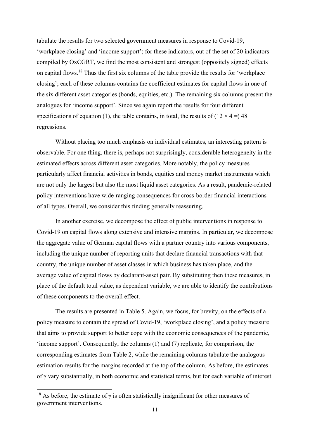tabulate the results for two selected government measures in response to Covid-19, 'workplace closing' and 'income support'; for these indicators, out of the set of 20 indicators compiled by OxCGRT, we find the most consistent and strongest (oppositely signed) effects on capital flows.18 Thus the first six columns of the table provide the results for 'workplace closing'; each of these columns contains the coefficient estimates for capital flows in one of the six different asset categories (bonds, equities, etc.). The remaining six columns present the analogues for 'income support'. Since we again report the results for four different specifications of equation (1), the table contains, in total, the results of  $(12 \times 4 = 948)$ regressions.

Without placing too much emphasis on individual estimates, an interesting pattern is observable. For one thing, there is, perhaps not surprisingly, considerable heterogeneity in the estimated effects across different asset categories. More notably, the policy measures particularly affect financial activities in bonds, equities and money market instruments which are not only the largest but also the most liquid asset categories. As a result, pandemic-related policy interventions have wide-ranging consequences for cross-border financial interactions of all types. Overall, we consider this finding generally reassuring.

In another exercise, we decompose the effect of public interventions in response to Covid-19 on capital flows along extensive and intensive margins. In particular, we decompose the aggregate value of German capital flows with a partner country into various components, including the unique number of reporting units that declare financial transactions with that country, the unique number of asset classes in which business has taken place, and the average value of capital flows by declarant-asset pair. By substituting then these measures, in place of the default total value, as dependent variable, we are able to identify the contributions of these components to the overall effect.

The results are presented in Table 5. Again, we focus, for brevity, on the effects of a policy measure to contain the spread of Covid-19, 'workplace closing', and a policy measure that aims to provide support to better cope with the economic consequences of the pandemic, 'income support'. Consequently, the columns (1) and (7) replicate, for comparison, the corresponding estimates from Table 2, while the remaining columns tabulate the analogous estimation results for the margins recorded at the top of the column. As before, the estimates of γ vary substantially, in both economic and statistical terms, but for each variable of interest

<sup>&</sup>lt;sup>18</sup> As before, the estimate of  $\gamma$  is often statistically insignificant for other measures of government interventions.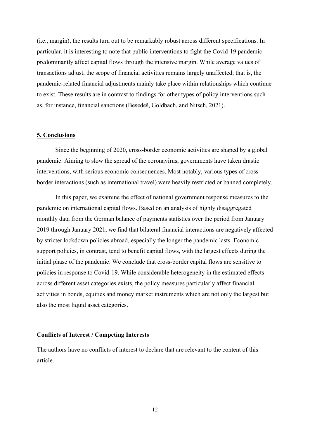(i.e., margin), the results turn out to be remarkably robust across different specifications. In particular, it is interesting to note that public interventions to fight the Covid-19 pandemic predominantly affect capital flows through the intensive margin. While average values of transactions adjust, the scope of financial activities remains largely unaffected; that is, the pandemic-related financial adjustments mainly take place within relationships which continue to exist. These results are in contrast to findings for other types of policy interventions such as, for instance, financial sanctions (Besedeš, Goldbach, and Nitsch, 2021).

### **5. Conclusions**

Since the beginning of 2020, cross-border economic activities are shaped by a global pandemic. Aiming to slow the spread of the coronavirus, governments have taken drastic interventions, with serious economic consequences. Most notably, various types of crossborder interactions (such as international travel) were heavily restricted or banned completely.

In this paper, we examine the effect of national government response measures to the pandemic on international capital flows. Based on an analysis of highly disaggregated monthly data from the German balance of payments statistics over the period from January 2019 through January 2021, we find that bilateral financial interactions are negatively affected by stricter lockdown policies abroad, especially the longer the pandemic lasts. Economic support policies, in contrast, tend to benefit capital flows, with the largest effects during the initial phase of the pandemic. We conclude that cross-border capital flows are sensitive to policies in response to Covid-19. While considerable heterogeneity in the estimated effects across different asset categories exists, the policy measures particularly affect financial activities in bonds, equities and money market instruments which are not only the largest but also the most liquid asset categories.

#### **Conflicts of Interest / Competing Interests**

The authors have no conflicts of interest to declare that are relevant to the content of this article.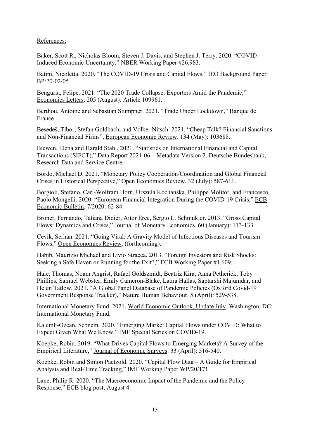# References:

Baker, Scott R., Nicholas Bloom, Steven J. Davis, and Stephen J. Terry. 2020. "COVID-Induced Economic Uncertainty," NBER Working Paper #26,983.

Batini, Nicoletta. 2020. "The COVID-19 Crisis and Capital Flows," IEO Background Paper BP/20-02/05.

Benguria, Felipe. 2021. "The 2020 Trade Collapse: Exporters Amid the Pandemic," Economics Letters. 205 (August): Article 109961.

Berthou, Antoine and Sebastian Stumpner. 2021. "Trade Under Lockdown," Banque de France.

Besedeš, Tibor, Stefan Goldbach, and Volker Nitsch. 2021. "Cheap Talk? Financial Sanctions and Non-Financial Firms", European Economic Review. 134 (May): 103688.

Biewen, Elena and Harald Stahl. 2021. "Statistics on International Financial and Capital Transactions (SIFCT)," Data Report 2021-06 – Metadata Version 2. Deutsche Bundesbank, Research Data and Service Centre.

Bordo, Michael D. 2021. "Monetary Policy Cooperation/Coordination and Global Financial Crises in Historical Perspective," Open Economies Review. 32 (July): 587-611.

Borgioli, Stefano, Carl-Wolfram Horn, Urszula Kochanska, Philippe Molitor, and Francesco Paolo Mongelli. 2020. "European Financial Integration During the COVID-19 Crisis," ECB Economic Bulletin. 7/2020: 62-84.

Broner, Fernando, Tatiana Didier, Aitor Erce, Sergio L. Schmukler. 2013. "Gross Capital Flows: Dynamics and Crises," Journal of Monetary Economics. 60 (January): 113-133.

Cevik, Serhan. 2021. "Going Viral: A Gravity Model of Infectious Diseases and Tourism Flows," Open Economies Review. (forthcoming).

Habib, Maurizio Michael and Livio Stracca. 2013. "Foreign Investors and Risk Shocks: Seeking a Safe Haven or Running for the Exit?," ECB Working Paper #1,609.

Hale, Thomas, Noam Angrist, Rafael Goldszmidt, Beatriz Kira, Anna Petherick, Toby Phillips, Samuel Webster, Emily Cameron-Blake, Laura Hallas, Saptarshi Majumdar, and Helen Tatlow. 2021. "A Global Panel Database of Pandemic Policies (Oxford Covid-19 Government Response Tracker)," Nature Human Behaviour. 5 (April): 529-538.

International Monetary Fund. 2021. World Economic Outlook, Update July. Washington, DC: International Monetary Fund.

Kalemli-Ozcan, Sebnem. 2020. "Emerging Market Capital Flows under COVID: What to Expect Given What We Know," IMF Special Series on COVID-19.

Koepke, Robin. 2019. "What Drives Capital Flows to Emerging Markets? A Survey of the Empirical Literature," Journal of Economic Surveys. 33 (April): 516-540.

Koepke, Robin and Simon Paetzold. 2020. "Capital Flow Data – A Guide for Empirical Analysis and Real-Time Tracking," IMF Working Paper WP/20/171.

Lane, Philip R. 2020. "The Macroeconomic Impact of the Pandemic and the Policy Response," ECB blog post, August 4.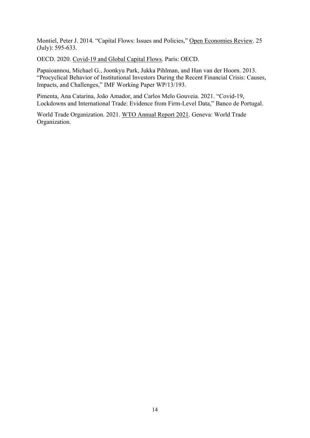Montiel, Peter J. 2014. "Capital Flows: Issues and Policies," Open Economies Review. 25 (July): 595-633.

OECD. 2020. Covid-19 and Global Capital Flows. Paris: OECD.

Papaioannou, Michael G., Joonkyu Park, Jukka Pihlman, and Han van der Hoorn. 2013. "Procyclical Behavior of Institutional Investors During the Recent Financial Crisis: Causes, Impacts, and Challenges," IMF Working Paper WP/13/193.

Pimenta, Ana Catarina, João Amador, and Carlos Melo Gouveia. 2021. "Covid-19, Lockdowns and International Trade: Evidence from Firm-Level Data," Banco de Portugal.

World Trade Organization. 2021. WTO Annual Report 2021. Geneva: World Trade Organization.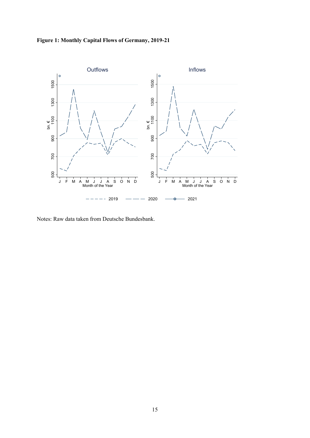



Notes: Raw data taken from Deutsche Bundesbank.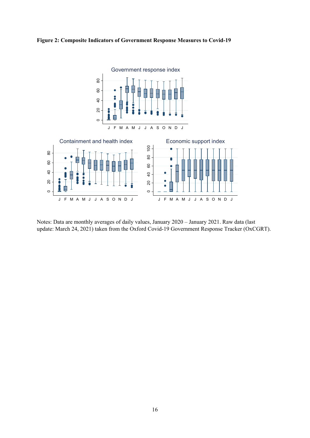



Notes: Data are monthly averages of daily values, January 2020 – January 2021. Raw data (last update: March 24, 2021) taken from the Oxford Covid-19 Government Response Tracker (OxCGRT).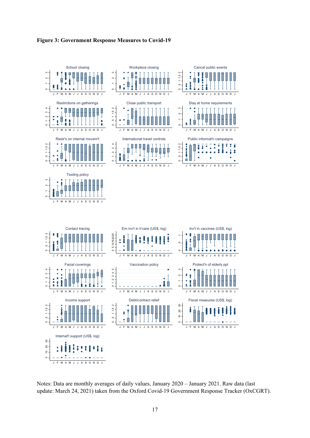



Notes: Data are monthly averages of daily values, January 2020 – January 2021. Raw data (last update: March 24, 2021) taken from the Oxford Covid-19 Government Response Tracker (OxCGRT).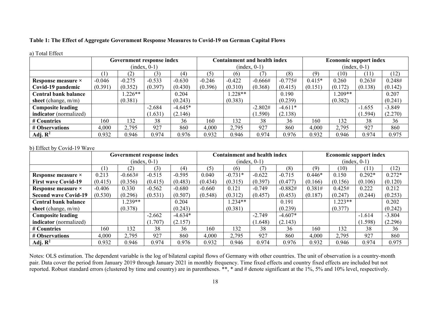# **Table 1: The Effect of Aggregate Government Response Measures to Covid-19 on German Capital Flows**

|                             |              | Government response index |                |           |          | <b>Containment and health index</b> |                |           |                |           | <b>Economic support index</b> |          |
|-----------------------------|--------------|---------------------------|----------------|-----------|----------|-------------------------------------|----------------|-----------|----------------|-----------|-------------------------------|----------|
|                             |              |                           | $(index, 0-1)$ |           |          |                                     | $(index, 0-1)$ |           | $(index, 0-1)$ |           |                               |          |
|                             | $\mathbf{1}$ | (2)                       | (3)            | (4)       | (5)      | (6)                                 |                | (8)       | (9)            | (10)      | (11)                          | (12)     |
| Response measure ×          | $-0.046$     | $-0.275$                  | $-0.533$       | $-0.630$  | $-0.246$ | $-0.422$                            | $-0.666#$      | $-0.775#$ | $0.415*$       | 0.260     | 0.263#                        | 0.248#   |
| Covid-19 pandemic           | (0.391)      | (0.352)                   | (0.397)        | (0.430)   | (0.396)  | (0.310)                             | (0.368)        | (0.415)   | (0.151)        | (0.172)   | (0.138)                       | (0.142)  |
| <b>Central bank balance</b> |              | $.226**$                  |                | 0.204     |          | $1.228**$                           |                | 0.190     |                | $1.209**$ |                               | 0.207    |
| sheet (change, $m/m$ )      |              | (0.381)                   |                | (0.243)   |          | (0.383)                             |                | (0.239)   |                | (0.382)   |                               | (0.241)  |
| <b>Composite leading</b>    |              |                           | $-2.684$       | $-4.645*$ |          |                                     | $-2.802#$      | $-4.611*$ |                |           | $-1.655$                      | $-3.849$ |
| indicator (normalized)      |              |                           | 1.631)         | (2.146)   |          |                                     | 1.590)         | (2.138)   |                |           | (1.594)                       | (2.270)  |
| # Countries                 | 160          | 132                       | 38             | 36        | 160      | 132                                 | 38             | 36        | 160            | 132       | 38                            | 36       |
| # Observations              | 4,000        | 2,795                     | 927            | 860       | 4,000    | 2,795                               | 927            | 860       | 4,000          | 2,795     | 927                           | 860      |
| Adj. $\mathbb{R}^2$         | 0.932        | 0.946                     | 0.974          | 0.976     | 0.932    | 0.946                               | 0.974          | 0.976     | 0.932          | 0.946     | 0.974                         | 0.975    |

#### a) Total Effect

#### b) Effect by Covid-19 Wave

|                             |          | Government response index |                |           |          | Containment and health index |                |           | <b>Economic support index</b> |          |          |          |
|-----------------------------|----------|---------------------------|----------------|-----------|----------|------------------------------|----------------|-----------|-------------------------------|----------|----------|----------|
|                             |          |                           | $(index, 0-1)$ |           |          |                              | $(index, 0-1)$ |           | $(index, 0-1)$                |          |          |          |
|                             | (1)      | (2)                       | (3)            | (4)       | (5)      | (6)                          | (7)            | (8)       | (9)                           | (10)     | (11)     | (12)     |
| Response measure ×          | 0.213    | $-0.663#$                 | $-0.515$       | $-0.595$  | 0.040    | $-0.731*$                    | $-0.622$       | $-0.715$  | $0.446*$                      | 0.150    | $0.292*$ | $0.272*$ |
| <b>First wave Covid-19</b>  | (0.415)  | (0.356)                   | (0.415)        | (0.483)   | (0.434)  | (0.315)                      | (0.397)        | (0.477)   | (0.166)                       | (0.156)  | (0.106)  | (0.120)  |
| Response measure ×          | $-0.406$ | 0.330                     | $-0.562$       | $-0.680$  | $-0.660$ | 0.121                        | $-0.749$       | $-0.882#$ | 0.381#                        | 0.425#   | 0.222    | 0.212    |
| <b>Second wave Covid-19</b> | (0.530)  | (0.296)                   | (0.531)        | (0.507)   | (0.548)  | (0.312)                      | (0.457)        | (0.453)   | (0.187)                       | (0.247)  | (0.244)  | (0.253)  |
| <b>Central bank balance</b> |          | $.239**$                  |                | 0.204     |          | $1.234**$                    |                | 0.191     |                               | $.223**$ |          | 0.202    |
| sheet (change, $m/m$ )      |          | (0.378)                   |                | (0.243)   |          | (0.381)                      |                | (0.239)   |                               | (0.377)  |          | (0.242)  |
| <b>Composite leading</b>    |          |                           | $-2.662$       | $-4.634*$ |          |                              | $-2.749$       | $-4.607*$ |                               |          | $-1.614$ | $-3.804$ |
| indicator (normalized)      |          |                           | (1.707)        | (2.157)   |          |                              | (1.648)        | (2.143)   |                               |          | (1.598)  | (2.296)  |
| # Countries                 | 160      | 132                       | 38             | 36        | 160      | 132                          | 38             | 36        | 160                           | 132      | 38       | 36       |
| # Observations              | 4,000    | 2,795                     | 927            | 860       | 4,000    | 2,795                        | 927            | 860       | 4,000                         | 2,795    | 927      | 860      |
| Adj. $\mathbb{R}^2$         | 0.932    | 0.946                     | 0.974          | 0.976     | 0.932    | 0.946                        | 0.974          | 0.976     | 0.932                         | 0.946    | 0.974    | 0.975    |

Notes: OLS estimation. The dependent variable is the log of bilateral capital flows of Germany with other countries. The unit of observation is a country-month pair. Data cover the period from January 2019 through January 2021 in monthly frequency. Time fixed effects and country fixed effects are included but not reported. Robust standard errors (clustered by time and country) are in parentheses. \*\*, \* and # denote significant at the 1%, 5% and 10% level, respectively.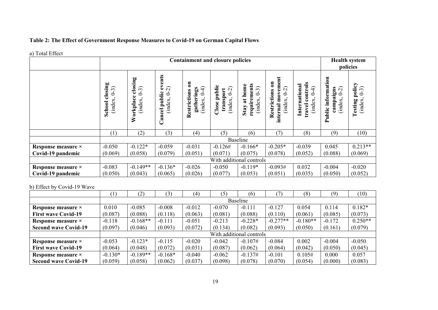# **Table 2: The Effect of Government Response Measures to Covid-19 on German Capital Flows**

#### a) Total Effect

| **/ ****** <del>**</del> **** |                                         |                                            |                                                             |                                                                                        | <b>Containment and closure policies</b>           |                                                         |                                                                             |                                                          | <b>Health system</b><br>policies                                 |                                                |  |  |
|-------------------------------|-----------------------------------------|--------------------------------------------|-------------------------------------------------------------|----------------------------------------------------------------------------------------|---------------------------------------------------|---------------------------------------------------------|-----------------------------------------------------------------------------|----------------------------------------------------------|------------------------------------------------------------------|------------------------------------------------|--|--|
|                               | closing<br>$(6-3)$<br>(index,<br>School | closing<br>$(6-3)$<br>Workplace<br>(index, | events<br>$\widehat{C}$<br>public<br>ċ<br>(index,<br>Cancel | $\overline{\mathbf{a}}$<br>$\widehat{+}$<br>gatherings<br>Restrictions<br>J<br>(index, | Close public<br>$(5 - 2)$<br>transport<br>(index, | requirements<br>at home<br>$(6 - 3)$<br>(index,<br>Stay | movement<br>$\mathbf{a}$<br>$(5 - 0)$<br>Restrictions<br>index.<br>internal | controls<br>International<br>╤<br>Ò<br>(index,<br>travel | Public information<br>$\widehat{C}$<br>campaigns<br>S<br>(index, | policy<br>$(6-3)$<br><b>Testing</b><br>(index. |  |  |
|                               | (1)                                     | (2)                                        | (3)                                                         | (4)                                                                                    | (5)                                               | (6)                                                     | (7)                                                                         | (8)                                                      | (9)                                                              | (10)                                           |  |  |
|                               |                                         |                                            |                                                             |                                                                                        |                                                   | <b>Baseline</b>                                         |                                                                             |                                                          |                                                                  |                                                |  |  |
| Response measure ×            | $-0.050$                                | $-0.122*$                                  | $-0.059$                                                    | $-0.031$                                                                               | $-0.126#$                                         | $-0.166*$                                               | $-0.205*$                                                                   | $-0.039$                                                 | 0.045                                                            | $0.213**$                                      |  |  |
| Covid-19 pandemic             | (0.069)                                 | (0.058)                                    | (0.079)                                                     | (0.051)                                                                                | (0.071)                                           | (0.075)                                                 | (0.078)                                                                     | (0.052)                                                  | (0.088)                                                          | (0.069)                                        |  |  |
|                               |                                         | With additional controls                   |                                                             |                                                                                        |                                                   |                                                         |                                                                             |                                                          |                                                                  |                                                |  |  |
| Response measure ×            | $-0.083$                                | $-0.149**$                                 | $-0.136*$                                                   | $-0.026$                                                                               | $-0.050$                                          | $-0.119*$                                               | $-0.093#$                                                                   | 0.032                                                    | $-0.004$                                                         | $-0.020$                                       |  |  |
| Covid-19 pandemic             | (0.050)                                 | (0.043)                                    | (0.065)                                                     | (0.026)                                                                                | (0.077)                                           | (0.053)                                                 | (0.051)                                                                     | (0.035)                                                  | (0.050)                                                          | (0.052)                                        |  |  |

### b) Effect by Covid-19 Wave

|                             | $\left(1\right)$ | (2)        | (3)       | (4)      | (5)      | (6)                      |            | (8)        | (9)      | (10)      |  |  |  |  |
|-----------------------------|------------------|------------|-----------|----------|----------|--------------------------|------------|------------|----------|-----------|--|--|--|--|
|                             |                  | Baseline   |           |          |          |                          |            |            |          |           |  |  |  |  |
| Response measure ×          | 0.010            | $-0.085$   | $-0.008$  | $-0.012$ | $-0.070$ | $-0.111$                 | $-0.127$   | 0.054      | 0.114    | $0.182*$  |  |  |  |  |
| <b>First wave Covid-19</b>  | (0.087)          | (0.088)    | (0.118)   | (0.063)  | (0.081)  | (0.088)                  | (0.110)    | (0.061)    | (0.085)  | (0.073)   |  |  |  |  |
| Response measure ×          | $-0.118$         | $-0.168**$ | $-0.111$  | $-0.051$ | $-0.213$ | $-0.228*$                | $-0.277**$ | $-0.180**$ | $-0.172$ | $0.250**$ |  |  |  |  |
| <b>Second wave Covid-19</b> | (0.097)          | (0.046)    | (0.093)   | (0.072)  | (0.134)  | (0.082)                  | (0.093)    | (0.050)    | (0.161)  | (0.079)   |  |  |  |  |
|                             |                  |            |           |          |          | With additional controls |            |            |          |           |  |  |  |  |
| Response measure ×          | $-0.053$         | $-0.123*$  | $-0.115$  | $-0.020$ | $-0.042$ | $-0.107#$                | $-0.084$   | 0.002      | $-0.004$ | $-0.050$  |  |  |  |  |
| <b>First wave Covid-19</b>  | (0.064)          | (0.048)    | (0.072)   | (0.031)  | (0.087)  | (0.062)                  | (0.064)    | (0.042)    | (0.050)  | (0.045)   |  |  |  |  |
| Response measure ×          | $-0.130*$        | $-0.189**$ | $-0.168*$ | $-0.040$ | $-0.062$ | $-0.137#$                | $-0.101$   | 0.105#     | 0.000    | 0.057     |  |  |  |  |
| <b>Second wave Covid-19</b> | (0.059)          | (0.058)    | (0.062)   | (0.037)  | (0.098)  | (0.078)                  | (0.070)    | (0.054)    | (0.000)  | (0.083)   |  |  |  |  |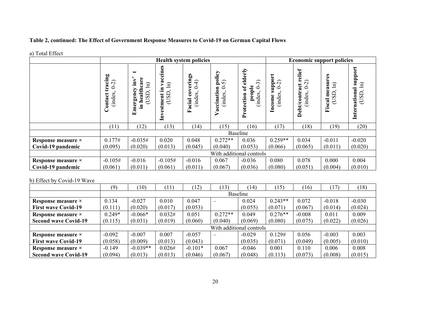# **Table 2, continued: The Effect of Government Response Measures to Covid-19 on German Capital Flows**

|                    |                                                                |                                                                                                     |                                               | <b>Health system policies</b>                         |                                             |                                                                                              | <b>Economic support policies</b>                                      |                                                               |                                                |                                                      |  |  |
|--------------------|----------------------------------------------------------------|-----------------------------------------------------------------------------------------------------|-----------------------------------------------|-------------------------------------------------------|---------------------------------------------|----------------------------------------------------------------------------------------------|-----------------------------------------------------------------------|---------------------------------------------------------------|------------------------------------------------|------------------------------------------------------|--|--|
|                    | cing<br>$(5 - 0)$<br>ಷ<br>(index.<br>$\overline{\text{ontra}}$ | $\overline{\phantom{0}}$<br>care<br>$\overline{\mathbf{m}}$<br>ਥੁ<br>(USD)<br>heal<br>Emergen<br>르. | ccines<br>a<br>冝<br>르.<br>(USD)<br>Investment | erings<br>₹<br>ċ<br>$\mathbf{c}$<br>(index.<br>Facial | policy<br>ົດ<br>0<br>Vaccination<br>(index. | elderly<br>$\widehat{\mathfrak{L}}$<br>people<br>ð<br>$\ddot{\circ}$<br>index.<br>Protection | $\overline{5}$<br>È<br>$\sim$<br>0<br>$_{\rm cone}$<br>inde:<br><br>ᆿ | relief<br>ର<br>act<br>0<br><b>Debt/contr</b><br>$\frac{1}{2}$ | asures<br>$\widehat{\Xi}$<br>≌<br>SD<br>Fiscal | support<br>$\widehat{\Xi}$<br>International<br>(USD) |  |  |
|                    | (11)                                                           | (12)                                                                                                | (13)                                          | (14)                                                  | (15)                                        | (16)                                                                                         | (17)                                                                  | (18)                                                          | (19)                                           | (20)                                                 |  |  |
|                    |                                                                |                                                                                                     |                                               |                                                       |                                             | Baseline                                                                                     |                                                                       |                                                               |                                                |                                                      |  |  |
| Response measure × | 0.177#                                                         | $-0.035#$                                                                                           | 0.020                                         | 0.048                                                 | $0.272**$                                   | 0.036                                                                                        | $0.259**$                                                             | 0.034                                                         | $-0.011$                                       | $-0.020$                                             |  |  |
| Covid-19 pandemic  | (0.095)                                                        | (0.020)                                                                                             | (0.013)                                       | (0.045)                                               | (0.040)                                     | (0.053)                                                                                      | (0.066)                                                               | (0.065)                                                       | (0.011)                                        | (0.020)                                              |  |  |
|                    |                                                                | With additional controls                                                                            |                                               |                                                       |                                             |                                                                                              |                                                                       |                                                               |                                                |                                                      |  |  |
| Response measure × | $-0.105#$                                                      | $-0.016$                                                                                            | $-0.105#$                                     | $-0.016$                                              | 0.067                                       | $-0.036$                                                                                     | 0.080                                                                 | 0.078                                                         | 0.000                                          | 0.004                                                |  |  |
| Covid-19 pandemic  | (0.061)                                                        | (0.011)                                                                                             | (0.061)                                       | (0.011)                                               | (0.067)                                     | (0.036)                                                                                      | (0.080)                                                               | (0.051)                                                       | (0.004)                                        | (0.010)                                              |  |  |

### b) Effect by Covid-19 Wave

|                             | (9)      | (10)            | 11      | (12)      | 13)                      | (14)                     | (15)      | (16)     | (17)     | (18)     |  |  |  |  |
|-----------------------------|----------|-----------------|---------|-----------|--------------------------|--------------------------|-----------|----------|----------|----------|--|--|--|--|
|                             |          | <b>Baseline</b> |         |           |                          |                          |           |          |          |          |  |  |  |  |
| Response measure ×          | 0.134    | $-0.027$        | 0.010   | 0.047     | $\overline{\phantom{m}}$ | 0.024                    | $0.243**$ | 0.072    | $-0.018$ | $-0.030$ |  |  |  |  |
| <b>First wave Covid-19</b>  | (0.111)  | (0.020)         | (0.017) | (0.053)   |                          | (0.055)                  | (0.071)   | (0.067)  | (0.014)  | (0.024)  |  |  |  |  |
| Response measure ×          | $0.249*$ | $-0.066*$       | 0.032#  | 0.051     | $0.272**$                | 0.049                    | $0.276**$ | $-0.008$ | 0.011    | 0.009    |  |  |  |  |
| <b>Second wave Covid-19</b> | (0.115)  | (0.031)         | (0.019) | (0.060)   | (0.040)                  | (0.069)                  | (0.080)   | (0.075)  | (0.022)  | (0.026)  |  |  |  |  |
|                             |          |                 |         |           |                          | With additional controls |           |          |          |          |  |  |  |  |
| Response measure ×          | $-0.092$ | $-0.007$        | 0.007   | $-0.057$  |                          | $-0.029$                 | 0.129#    | 0.056    | $-0.003$ | 0.003    |  |  |  |  |
| <b>First wave Covid-19</b>  | (0.058)  | (0.009)         | (0.013) | (0.043)   |                          | (0.035)                  | (0.071)   | (0.049)  | (0.005)  | (0.010)  |  |  |  |  |
| Response measure ×          | $-0.149$ | $-0.039**$      | 0.026#  | $-0.101*$ | 0.067                    | $-0.046$                 | 0.001     | 0.110    | 0.006    | 0.008    |  |  |  |  |
| <b>Second wave Covid-19</b> | (0.094)  | (0.013)         | (0.013) | (0.046)   | (0.067)                  | (0.048)                  | (0.113)   | (0.073)  | (0.008)  | (0.015)  |  |  |  |  |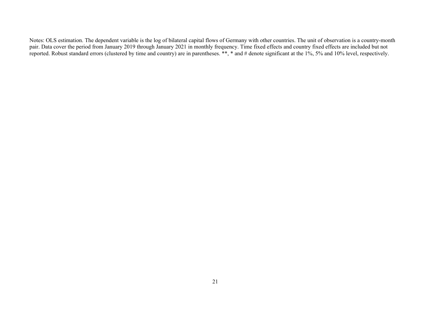Notes: OLS estimation. The dependent variable is the log of bilateral capital flows of Germany with other countries. The unit of observation is a country-month pair. Data cover the period from January 2019 through January 2021 in monthly frequency. Time fixed effects and country fixed effects are included but not reported. Robust standard errors (clustered by time and country) are in parentheses. \*\*, \* and # denote significant at the 1%, 5% and 10% level, respectively.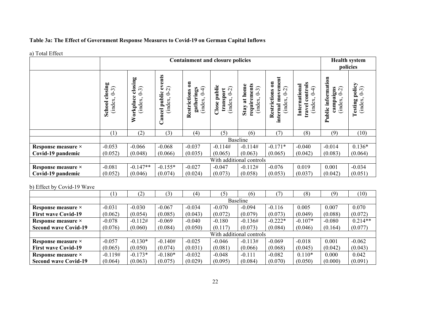# **Table 3a: The Effect of Government Response Measures to Covid-19 on German Capital Inflows**

#### a) Total Effect

|                    |                                                           |                                              |                                                             | <b>Containment and closure policies</b>                                                |                                                   |                                                         |                                                                            |                                                          | <b>Health system</b><br>policies                                      |                                                |
|--------------------|-----------------------------------------------------------|----------------------------------------------|-------------------------------------------------------------|----------------------------------------------------------------------------------------|---------------------------------------------------|---------------------------------------------------------|----------------------------------------------------------------------------|----------------------------------------------------------|-----------------------------------------------------------------------|------------------------------------------------|
|                    | osing<br>$\widehat{\cdot}$<br>Ò<br>ಕ<br>(index,<br>School | closing<br>$(6 - 3)$<br>Workplace<br>(index, | events<br>$\widehat{C}$<br>public<br>Ò<br>(index,<br>Cancel | $\overline{\mathbf{5}}$<br>$\widehat{+}$<br>gatherings<br>Restrictions<br>5<br>(index, | Close public<br>$(5 - 0)$<br>transport<br>(index, | requirements<br>at home<br>$(6 - 3)$<br>(index,<br>Stay | movement<br>$\mathbf{a}$<br>$(5-0)$<br>Restrictions<br>(index,<br>internal | controls<br>International<br>╤<br>Ò<br>(index.<br>travel | information<br>$\widehat{C}$<br>campaigns<br>0<br>(index,<br>Public 1 | policy<br>$(6-3)$<br><b>Testing</b><br>(index. |
|                    | (1)                                                       | (2)                                          | (3)                                                         | (4)                                                                                    | (5)                                               | (6)                                                     | (7)                                                                        | (8)                                                      | (9)                                                                   | (10)                                           |
|                    |                                                           |                                              |                                                             |                                                                                        |                                                   | <b>Baseline</b>                                         |                                                                            |                                                          |                                                                       |                                                |
| Response measure × | $-0.053$                                                  | $-0.066$                                     | $-0.068$                                                    | $-0.037$                                                                               | $-0.114#$                                         | $-0.114#$                                               | $-0.171*$                                                                  | $-0.040$                                                 | $-0.014$                                                              | $0.136*$                                       |
| Covid-19 pandemic  | (0.052)                                                   | (0.048)                                      | (0.066)                                                     | (0.035)                                                                                | (0.065)                                           | (0.063)                                                 | (0.065)                                                                    | (0.042)                                                  | (0.083)                                                               | (0.064)                                        |
|                    |                                                           |                                              |                                                             |                                                                                        |                                                   | With additional controls                                |                                                                            |                                                          |                                                                       |                                                |
| Response measure × | $-0.081$                                                  | $-0.147**$                                   | $-0.155*$                                                   | $-0.027$                                                                               | $-0.047$                                          | $-0.112#$                                               | $-0.076$                                                                   | 0.019                                                    | 0.001                                                                 | $-0.034$                                       |
| Covid-19 pandemic  | (0.052)                                                   | (0.046)                                      | (0.074)                                                     | (0.024)                                                                                | (0.073)                                           | (0.058)                                                 | (0.053)                                                                    | (0.037)                                                  | (0.042)                                                               | (0.051)                                        |

### b) Effect by Covid-19 Wave

|                             | $\left(1\right)$ | (2)       | (3)       | (4)      | (5)      | (6)                      |           | (8)       | (9)      | (10)      |
|-----------------------------|------------------|-----------|-----------|----------|----------|--------------------------|-----------|-----------|----------|-----------|
|                             |                  |           |           |          |          | Baseline                 |           |           |          |           |
| Response measure ×          | $-0.031$         | $-0.030$  | $-0.067$  | $-0.034$ | $-0.070$ | $-0.094$                 | $-0.116$  | 0.005     | 0.007    | 0.070     |
| <b>First wave Covid-19</b>  | (0.062)          | (0.054)   | (0.085)   | (0.043)  | (0.072)  | (0.079)                  | (0.073)   | (0.049)   | (0.088)  | (0.072)   |
| Response measure ×          | $-0.078$         | $-0.112#$ | $-0.069$  | $-0.040$ | $-0.180$ | $-0.136#$                | $-0.222*$ | $-0.107*$ | $-0.080$ | $0.214**$ |
| <b>Second wave Covid-19</b> | (0.076)          | (0.060)   | (0.084)   | (0.050)  | (0.117)  | (0.073)                  | (0.084)   | (0.046)   | (0.164)  | (0.077)   |
|                             |                  |           |           |          |          | With additional controls |           |           |          |           |
| Response measure ×          | $-0.057$         | $-0.130*$ | $-0.140#$ | $-0.025$ | $-0.046$ | $-0.113#$                | $-0.069$  | $-0.018$  | 0.001    | $-0.062$  |
| <b>First wave Covid-19</b>  | (0.065)          | (0.050)   | (0.074)   | (0.031)  | (0.081)  | (0.066)                  | (0.068)   | (0.045)   | (0.042)  | (0.043)   |
| Response measure ×          | $-0.119#$        | $-0.173*$ | $-0.180*$ | $-0.032$ | $-0.048$ | $-0.111$                 | $-0.082$  | $0.110*$  | 0.000    | 0.042     |
| <b>Second wave Covid-19</b> | (0.064)          | (0.063)   | (0.075)   | (0.029)  | (0.095)  | (0.084)                  | (0.070)   | (0.050)   | (0.000)  | (0.091)   |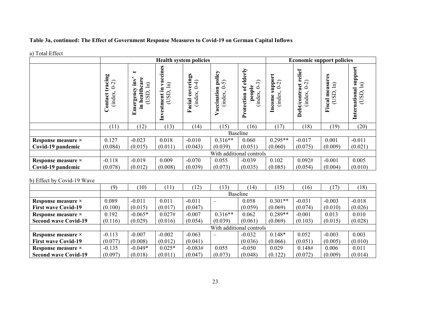# **Table 3a, continued: The Effect of Government Response Measures to Covid-19 on German Capital Inflows**

| a) Total Effect |  |
|-----------------|--|
|-----------------|--|

|                    |                                           |                                                                                                                              |                                                                                | <b>Health system policies</b>                                    |                                            |                                                                                        |                                                        | <b>Economic support policies</b>                          |                                                                 |                                                            |
|--------------------|-------------------------------------------|------------------------------------------------------------------------------------------------------------------------------|--------------------------------------------------------------------------------|------------------------------------------------------------------|--------------------------------------------|----------------------------------------------------------------------------------------|--------------------------------------------------------|-----------------------------------------------------------|-----------------------------------------------------------------|------------------------------------------------------------|
|                    | cing<br>$0 - 2$<br>ಷ<br>(index<br>Contact | care<br>$\overline{\mathbf{m}}$<br>$\widehat{\Xi}$<br>€<br>(USD)<br>heal<br>$\mathbf{g}\mathbf{c}$<br>ä<br>르.<br>$E_{\rm I}$ | ccines<br>$\widehat{H}$<br>.트<br><b>GSD</b><br>estment<br>$\tilde{\mathbf{H}}$ | erings<br>F<br>ċ<br>$\overline{\mathbf{c}}$<br>(index.<br>Facial | policy<br>ລ<br>0<br>Vaccination<br>(index. | elderly<br>$\widehat{\mathfrak{g}}$<br>people<br>ัธ<br>$\circ$<br>index.<br>Protection | upport<br>$\sim$<br>○<br>comce<br>inde:<br>(inde:<br>ᆿ | relief<br>ର<br>act<br>0<br>Debt/contr<br>$ind$ $\epsilon$ | asures<br>$\widehat{\Xi}$<br>≌<br>B<br>Fiscal<br>$\overline{C}$ | support<br>$\mathbf{E}$<br>ಸ<br>Internation<br><b>CISL</b> |
|                    | (11)                                      | (12)                                                                                                                         | (13)                                                                           | (14)                                                             | (15)                                       | (16)                                                                                   | (17)                                                   | (18)                                                      | (19)                                                            | (20)                                                       |
|                    |                                           |                                                                                                                              |                                                                                |                                                                  |                                            | Baseline                                                                               |                                                        |                                                           |                                                                 |                                                            |
| Response measure × | 0.127                                     | $-0.023$                                                                                                                     | 0.018                                                                          | $-0.010$                                                         | $0.316**$                                  | 0.060                                                                                  | $0.295**$                                              | $-0.017$                                                  | 0.001                                                           | $-0.011$                                                   |
| Covid-19 pandemic  | (0.084)                                   | (0.015)                                                                                                                      | (0.011)                                                                        | (0.043)                                                          | (0.039)                                    | (0.051)                                                                                | (0.060)                                                | (0.075)                                                   | (0.009)                                                         | (0.021)                                                    |
|                    |                                           |                                                                                                                              |                                                                                |                                                                  |                                            | With additional controls                                                               |                                                        |                                                           |                                                                 |                                                            |
| Response measure × | $-0.118$                                  | $-0.019$                                                                                                                     | 0.009                                                                          | $-0.070$                                                         | 0.055                                      | $-0.039$                                                                               | 0.102                                                  | 0.092#                                                    | $-0.001$                                                        | 0.005                                                      |
| Covid-19 pandemic  | (0.078)                                   | (0.012)                                                                                                                      | (0.008)                                                                        | (0.039)                                                          | (0.073)                                    | (0.035)                                                                                | (0.085)                                                | (0.054)                                                   | (0.004)                                                         | (0.010)                                                    |

### b) Effect by Covid-19 Wave

|                             | (9)      | (10)            | 11       | (12)      | 13)       | (14)                     | (15)      | (16)     | (17)     | (18)     |  |  |  |  |
|-----------------------------|----------|-----------------|----------|-----------|-----------|--------------------------|-----------|----------|----------|----------|--|--|--|--|
|                             |          | <b>Baseline</b> |          |           |           |                          |           |          |          |          |  |  |  |  |
| Response measure ×          | 0.089    | $-0.011$        | 0.011    | $-0.011$  |           | 0.058                    | $0.301**$ | $-0.031$ | $-0.003$ | $-0.018$ |  |  |  |  |
| <b>First wave Covid-19</b>  | (0.100)  | (0.015)         | (0.017)  | (0.047)   |           | (0.059)                  | (0.069)   | (0.074)  | (0.010)  | (0.026)  |  |  |  |  |
| Response measure ×          | 0.192    | $-0.065*$       | 0.027#   | $-0.007$  | $0.316**$ | 0.062                    | $0.289**$ | $-0.001$ | 0.013    | 0.010    |  |  |  |  |
| <b>Second wave Covid-19</b> | (0.116)  | (0.029)         | (0.016)  | (0.054)   | (0.039)   | (0.061)                  | (0.069)   | (0.103)  | (0.015)  | (0.028)  |  |  |  |  |
|                             |          |                 |          |           |           | With additional controls |           |          |          |          |  |  |  |  |
| Response measure ×          | $-0.113$ | $-0.007$        | $-0.002$ | $-0.063$  |           | $-0.032$                 | $0.148*$  | 0.052    | $-0.003$ | 0.003    |  |  |  |  |
| <b>First wave Covid-19</b>  | (0.077)  | (0.008)         | (0.012)  | (0.041)   |           | (0.036)                  | (0.066)   | (0.051)  | (0.005)  | (0.010)  |  |  |  |  |
| Response measure ×          | $-0.135$ | $-0.049*$       | $0.025*$ | $-0.083#$ | 0.055     | $-0.050$                 | 0.029     | 0.148#   | 0.006    | 0.011    |  |  |  |  |
| <b>Second wave Covid-19</b> | (0.097)  | (0.018)         | (0.011)  | (0.047)   | (0.073)   | (0.048)                  | (0.122)   | (0.072)  | (0.009)  | (0.014)  |  |  |  |  |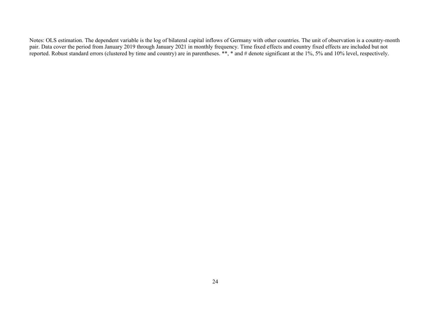Notes: OLS estimation. The dependent variable is the log of bilateral capital inflows of Germany with other countries. The unit of observation is a country-month pair. Data cover the period from January 2019 through January 2021 in monthly frequency. Time fixed effects and country fixed effects are included but not reported. Robust standard errors (clustered by time and country) are in parentheses. \*\*, \* and # denote significant at the 1%, 5% and 10% level, respectively.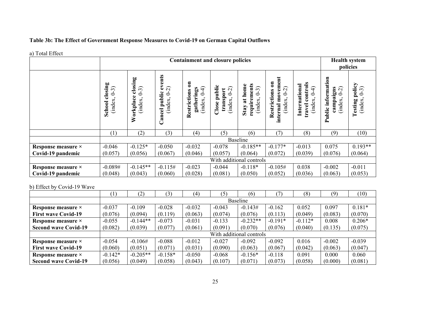# **Table 3b: The Effect of Government Response Measures to Covid-19 on German Capital Outflows**

#### a) Total Effect

|                    |                                                                                                             |                                              |                                                                    | <b>Containment and closure policies</b>                                                |                                                 |                                                                      |                                                                              |                                                          |                                                                     | <b>Health system</b><br>policies               |  |
|--------------------|-------------------------------------------------------------------------------------------------------------|----------------------------------------------|--------------------------------------------------------------------|----------------------------------------------------------------------------------------|-------------------------------------------------|----------------------------------------------------------------------|------------------------------------------------------------------------------|----------------------------------------------------------|---------------------------------------------------------------------|------------------------------------------------|--|
|                    | osing<br>$(6-3)$<br>ಕ<br>(index,<br>School                                                                  | closing<br>$(6 - 3)$<br>Workplace<br>(index, | events<br>$\widehat{C}$<br>public<br>Ò<br>(index,<br><b>Cancel</b> | $\overline{\mathbf{5}}$<br>$\widehat{+}$<br>gatherings<br>Restrictions<br>9<br>(index, | Close public<br>$(5-0)$<br>transport<br>(index, | requirements<br>at home<br>$\widehat{\cdot}$<br>Ò<br>(index,<br>Stay | movement<br>$\mathbf{a}$<br>$(5 - 0)$<br>Restrictions<br>(index,<br>internal | controls<br>International<br>╤<br>Ò<br>(index.<br>travel | information<br>$\widehat{C}$<br>campaigns<br>0<br>(index,<br>Public | policy<br>$(6-3)$<br><b>Testing</b><br>(index. |  |
|                    | (1)                                                                                                         | (2)                                          | (3)                                                                | (4)                                                                                    | (5)                                             | (6)                                                                  | (7)                                                                          | (8)                                                      | (9)                                                                 | (10)                                           |  |
|                    |                                                                                                             |                                              |                                                                    |                                                                                        |                                                 | <b>Baseline</b>                                                      |                                                                              |                                                          |                                                                     |                                                |  |
| Response measure × | $-0.046$                                                                                                    | $-0.125*$                                    | $-0.050$                                                           | $-0.032$                                                                               | $-0.078$                                        | $-0.185**$                                                           | $-0.177*$                                                                    | $-0.013$                                                 | 0.075                                                               | $0.193**$                                      |  |
| Covid-19 pandemic  | (0.056)<br>(0.067)<br>(0.046)<br>(0.057)<br>(0.064)<br>(0.072)<br>(0.039)<br>(0.076)<br>(0.057)             |                                              |                                                                    |                                                                                        |                                                 |                                                                      |                                                                              |                                                          |                                                                     | (0.064)                                        |  |
|                    |                                                                                                             |                                              |                                                                    |                                                                                        |                                                 | With additional controls                                             |                                                                              |                                                          |                                                                     |                                                |  |
| Response measure × | $-0.145**$<br>$-0.089#$<br>$-0.115#$<br>$-0.023$<br>$-0.118*$<br>$-0.105#$<br>0.038<br>$-0.002$<br>$-0.044$ |                                              |                                                                    |                                                                                        |                                                 |                                                                      |                                                                              |                                                          |                                                                     |                                                |  |
| Covid-19 pandemic  | (0.048)                                                                                                     | (0.036)                                      | (0.063)                                                            | (0.053)                                                                                |                                                 |                                                                      |                                                                              |                                                          |                                                                     |                                                |  |

### b) Effect by Covid-19 Wave

|                             | $\left(1\right)$         | (2)        | (3)       | (4)      | (5)      | (6)        |           | (8)       | (9)      | (10)     |  |  |  |  |
|-----------------------------|--------------------------|------------|-----------|----------|----------|------------|-----------|-----------|----------|----------|--|--|--|--|
|                             |                          |            |           |          |          | Baseline   |           |           |          |          |  |  |  |  |
| Response measure ×          | $-0.037$                 | $-0.109$   | $-0.028$  | $-0.032$ | $-0.043$ | $-0.143#$  | $-0.162$  | 0.052     | 0.097    | $0.181*$ |  |  |  |  |
| <b>First wave Covid-19</b>  | (0.076)                  | (0.094)    | (0.119)   | (0.063)  | (0.074)  | (0.076)    | (0.113)   | (0.049)   | (0.083)  | (0.070)  |  |  |  |  |
| Response measure ×          | $-0.055$                 | $-0.144**$ | $-0.073$  | $-0.031$ | $-0.133$ | $-0.232**$ | $-0.191*$ | $-0.112*$ | 0.008    | $0.206*$ |  |  |  |  |
| <b>Second wave Covid-19</b> | (0.082)                  | (0.039)    | (0.077)   | (0.061)  | (0.091)  | (0.070)    | (0.076)   | (0.040)   | (0.135)  | (0.075)  |  |  |  |  |
|                             | With additional controls |            |           |          |          |            |           |           |          |          |  |  |  |  |
| Response measure ×          | $-0.054$                 | $-0.106#$  | $-0.088$  | $-0.012$ | $-0.027$ | $-0.092$   | $-0.092$  | 0.016     | $-0.002$ | $-0.039$ |  |  |  |  |
| <b>First wave Covid-19</b>  | (0.060)                  | (0.051)    | (0.071)   | (0.031)  | (0.090)  | (0.063)    | (0.067)   | (0.042)   | (0.063)  | (0.047)  |  |  |  |  |
| Response measure ×          | $-0.142*$                | $-0.205**$ | $-0.158*$ | $-0.050$ | $-0.068$ | $-0.156*$  | $-0.118$  | 0.091     | 0.000    | 0.060    |  |  |  |  |
| <b>Second wave Covid-19</b> | (0.056)                  | (0.049)    | (0.058)   | (0.043)  | (0.107)  | (0.071)    | (0.073)   | (0.058)   | (0.000)  | (0.081)  |  |  |  |  |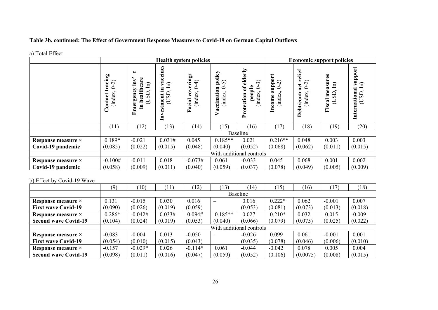# **Table 3b, continued: The Effect of Government Response Measures to Covid-19 on German Capital Outflows**

| a) Total Effect |  |
|-----------------|--|
|-----------------|--|

|                    |                                           |                                                                                                                              |                                                                                | <b>Health system policies</b>                                    |                                            |                                                                                        |                                              | <b>Economic support policies</b>               |                                                         |                                                            |
|--------------------|-------------------------------------------|------------------------------------------------------------------------------------------------------------------------------|--------------------------------------------------------------------------------|------------------------------------------------------------------|--------------------------------------------|----------------------------------------------------------------------------------------|----------------------------------------------|------------------------------------------------|---------------------------------------------------------|------------------------------------------------------------|
|                    | cing<br>$0 - 2$<br>2<br>(index<br>Contact | care<br>$\overline{\mathbf{m}}$<br>$\widehat{\Xi}$<br>€<br>(USD)<br>heal<br>$\mathbf{g}\mathbf{c}$<br>ä<br>르.<br>$E_{\rm I}$ | ccines<br>$\widehat{H}$<br>.트<br><b>GSD</b><br>estment<br>$\tilde{\mathbf{H}}$ | erings<br>F<br>ċ<br>$\overline{\mathbf{c}}$<br>(index.<br>Facial | policy<br>ລ<br>0<br>Vaccination<br>(index. | elderly<br>$\widehat{\mathfrak{g}}$<br>people<br>ัธ<br>$\circ$<br>index.<br>Protection | upport<br>$\sim$<br>○<br>comce<br>inde:<br>ᆿ | relief<br>ର<br>act<br>0<br>Debt/contr<br>inde; | asures<br>$\widehat{\Xi}$<br>≌<br>B<br>Fiscal<br>$\cup$ | support<br>$\mathbf{E}$<br>ಸ<br>Internation<br><b>CISL</b> |
|                    | (11)                                      | (12)                                                                                                                         | (13)                                                                           | (14)                                                             | (15)                                       | (16)                                                                                   | (17)                                         | (18)                                           | (19)                                                    | (20)                                                       |
|                    |                                           |                                                                                                                              |                                                                                |                                                                  |                                            | Baseline                                                                               |                                              |                                                |                                                         |                                                            |
| Response measure × | $0.189*$                                  | $-0.021$                                                                                                                     | 0.031#                                                                         | 0.045                                                            | $0.185**$                                  | 0.021                                                                                  | $0.216**$                                    | 0.048                                          | 0.003                                                   | 0.003                                                      |
| Covid-19 pandemic  | (0.085)                                   | (0.022)                                                                                                                      | (0.015)                                                                        | (0.048)                                                          | (0.040)                                    | (0.052)                                                                                | (0.068)                                      | (0.062)                                        | (0.011)                                                 | (0.015)                                                    |
|                    |                                           |                                                                                                                              |                                                                                |                                                                  |                                            | With additional controls                                                               |                                              |                                                |                                                         |                                                            |
| Response measure × | $-0.100#$                                 | $-0.011$                                                                                                                     | 0.018                                                                          | $-0.073#$                                                        | 0.061                                      | $-0.033$                                                                               | 0.045                                        | 0.068                                          | 0.001                                                   | 0.002                                                      |
| Covid-19 pandemic  | (0.058)                                   | (0.009)                                                                                                                      | (0.011)                                                                        | (0.040)                                                          | (0.059)                                    | (0.037)                                                                                | (0.078)                                      | (0.049)                                        | (0.005)                                                 | (0.009)                                                    |

### b) Effect by Covid-19 Wave

|                             | (9)                      | (10)      | $\left(11\right)$ | (12)      | 13)       | (14)     | (15)     | (16)     | (17)     | (18)     |  |  |  |  |
|-----------------------------|--------------------------|-----------|-------------------|-----------|-----------|----------|----------|----------|----------|----------|--|--|--|--|
|                             |                          |           |                   |           |           | Baseline |          |          |          |          |  |  |  |  |
| Response measure ×          | 0.131                    | $-0.015$  | 0.030             | 0.016     |           | 0.016    | $0.222*$ | 0.062    | $-0.001$ | 0.007    |  |  |  |  |
| <b>First wave Covid-19</b>  | (0.090)                  | (0.026)   | (0.019)           | (0.059)   |           | (0.053)  | (0.081)  | (0.073)  | (0.013)  | (0.018)  |  |  |  |  |
| Response measure ×          | $0.286*$                 | $-0.042#$ | 0.033#            | 0.094#    | $0.185**$ | 0.027    | $0.210*$ | 0.032    | 0.015    | $-0.009$ |  |  |  |  |
| <b>Second wave Covid-19</b> | (0.104)                  | (0.024)   | (0.019)           | (0.053)   | (0.040)   | (0.066)  | (0.079)  | (0.075)  | (0.025)  | (0.022)  |  |  |  |  |
|                             | With additional controls |           |                   |           |           |          |          |          |          |          |  |  |  |  |
| Response measure ×          | $-0.083$                 | $-0.004$  | 0.013             | $-0.050$  |           | $-0.026$ | 0.099    | 0.061    | $-0.001$ | 0.001    |  |  |  |  |
| <b>First wave Covid-19</b>  | (0.054)                  | (0.010)   | (0.015)           | (0.043)   |           | (0.035)  | (0.078)  | (0.046)  | (0.006)  | (0.010)  |  |  |  |  |
| Response measure ×          | $-0.157$                 | $-0.029*$ | 0.026             | $-0.114*$ | 0.061     | $-0.044$ | $-0.042$ | 0.078    | 0.005    | 0.004    |  |  |  |  |
| <b>Second wave Covid-19</b> | (0.098)                  | (0.011)   | (0.016)           | (0.047)   | (0.059)   | (0.052)  | (0.106)  | (0.0075) | (0.008)  | (0.015)  |  |  |  |  |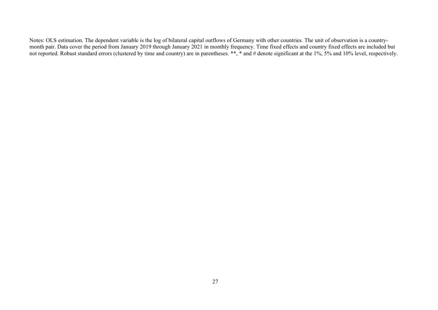Notes: OLS estimation. The dependent variable is the log of bilateral capital outflows of Germany with other countries. The unit of observation is a countrymonth pair. Data cover the period from January 2019 through January 2021 in monthly frequency. Time fixed effects and country fixed effects are included but not reported. Robust standard errors (clustered by time and country) are in parentheses. \*\*, \* and # denote significant at the 1%, 5% and 10% level, respectively.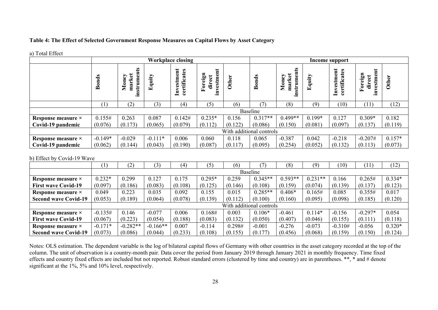### **Table 4: The Effect of Selected Government Response Measures on Capital Flows by Asset Category**

| a) Total Effect |  |
|-----------------|--|
|-----------------|--|

|                            |              |                                   |           | <b>Workplace closing</b>                |                                 |         |                          |                                |          | Income support                                                   |                                                                                                     |              |
|----------------------------|--------------|-----------------------------------|-----------|-----------------------------------------|---------------------------------|---------|--------------------------|--------------------------------|----------|------------------------------------------------------------------|-----------------------------------------------------------------------------------------------------|--------------|
|                            | <b>Bonds</b> | S<br>instrumen<br>market<br>Money | Equity    | estment<br>certificates<br>$\mathbf{m}$ | investment<br>Foreign<br>direct | Other   | <b>Bonds</b>             | instruments<br>market<br>Money | Equity   | estment<br>ates<br>ن<br>$\mathbf{I}_{\mathbf{n}\mathbf{v}}$<br>ප | $\overline{\mathbf{u}}$<br>Foreign<br>$\bullet$<br>$\bm{{\mathop{\rm direct}\nolimits}}$<br>investm | <b>Other</b> |
|                            | (1)          | (2)                               | (3)       | (4)                                     | (5)                             | (6)     | $\mathcal{T}$            | (8)                            | (9)      | (10)                                                             | (11)                                                                                                | (12)         |
|                            |              |                                   |           |                                         |                                 |         | <b>Baseline</b>          |                                |          |                                                                  |                                                                                                     |              |
| Response measure ×         | 0.155#       | 0.263                             | 0.087     | 0.142#                                  | $0.235*$                        | 0.156   | $0.317**$                | $0.499**$                      | $0.199*$ | 0.127                                                            | $0.309*$                                                                                            | 0.182        |
| Covid-19 pandemic          | (0.076)      | (0.173)                           | (0.065)   | (0.079)                                 | (0.112)                         | (0.122) | (0.086)                  | (0.150)                        | (0.081)  | (0.097)                                                          | (0.137)                                                                                             | (0.119)      |
|                            |              |                                   |           |                                         |                                 |         | With additional controls |                                |          |                                                                  |                                                                                                     |              |
| Response measure ×         | $-0.149*$    | $-0.029$                          | $-0.111*$ | 0.006                                   | 0.060                           | 0.118   | 0.065                    | $-0.387$                       | 0.042    | $-0.218$                                                         | $-0.207#$                                                                                           | $0.157*$     |
| Covid-19 pandemic          | (0.062)      | (0.144)                           | (0.043)   | (0.190)                                 | (0.087)                         | (0.117) | (0.095)                  | (0.254)                        | (0.052)  | (0.132)                                                          | (0.113)                                                                                             | (0.073)      |
| b) Effect by Covid-19 Wave |              |                                   |           |                                         |                                 |         |                          |                                |          |                                                                  |                                                                                                     |              |
|                            | (1)          | (2)                               | (3)       | (4)                                     | (5)                             | (6)     | $7^{\circ}$              | (8)                            | (9)      | (10)                                                             | (11)                                                                                                | (12)         |

|                             | <b>T</b>                 | ( 4 J      | ا ت        | ι+      | U        | 1 V J   |           | 1 O J     | 12.       | LU.       | 11        | 1/2      |  |  |  |
|-----------------------------|--------------------------|------------|------------|---------|----------|---------|-----------|-----------|-----------|-----------|-----------|----------|--|--|--|
|                             |                          |            |            |         |          |         | Baseline  |           |           |           |           |          |  |  |  |
| Response measure ×          | $0.232*$                 | .299       | 0.127      | 0.175   | $0.295*$ | 0.259   | $0.345**$ | $0.593**$ | $0.231**$ | 0.166     | 0.265#    | $0.334*$ |  |  |  |
| <b>First wave Covid-19</b>  | (0.097)                  | (0.186)    | (0.083)    | (0.108) | (0.125)  | (0.146) | (0.108)   | (0.159)   | (0.074)   | (0.139)   | (0.137)   | (0.123)  |  |  |  |
| Response measure ×          | 0.049                    | 0.223      | 0.035      | 0.092   | 0.155    | 0.015   | $0.285**$ | $0.406*$  | 0.165#    | 0.085     | 0.355#    | 0.017    |  |  |  |
| <b>Second wave Covid-19</b> | (0.053)                  | (0.189)    | (0.064)    | (0.078) | (0.139)  | (0.112) | (0.100)   | (0.160)   | (0.095)   | (0.098)   | (0.185)   | (0.120)  |  |  |  |
|                             | With additional controls |            |            |         |          |         |           |           |           |           |           |          |  |  |  |
| Response measure ×          | $-0.135#$                | 0.146      | $-0.077$   | 0.006   | 0.168#   | 0.003   | $0.106*$  | $-0.461$  | $0.114*$  | $-0.156$  | $-0.297*$ | 0.054    |  |  |  |
| <b>First wave Covid-19</b>  | (0.067)                  | (0.223)    | (0.054)    | (0.188) | (0.083)  | (0.132) | (0.050)   | (0.407)   | (0.046)   | (0.155)   | (0.111)   | (0.118)  |  |  |  |
| Response measure ×          | $-0.171*$                | $-0.282**$ | $-0.166**$ | 0.007   | $-0.114$ | 0.298#  | $-0.001$  | $-0.276$  | $-0.073$  | $-0.310#$ | $-0.056$  | $0.320*$ |  |  |  |
| <b>Second wave Covid-19</b> | (0.073)                  | (0.086)    | (0.044)    | (0.233) | (0.108)  | (0.155) | (0.177)   | (0.456)   | (0.068)   | (0.159)   | (0.150)   | (0.124)  |  |  |  |

Notes: OLS estimation. The dependent variable is the log of bilateral capital flows of Germany with other countries in the asset category recorded at the top of the column. The unit of observation is a country-month pair. Data cover the period from January 2019 through January 2021 in monthly frequency. Time fixed effects and country fixed effects are included but not reported. Robust standard errors (clustered by time and country) are in parentheses. \*\*, \* and # denote significant at the 1%, 5% and 10% level, respectively.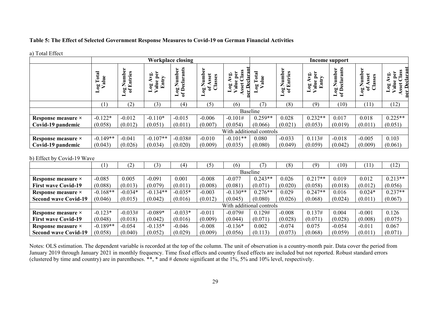### **Table 5: The Effect of Selected Government Response Measures to Covid-19 on German Financial Activities**

| ants<br>er<br>É                                                                                                                        | umber<br>sset<br>$\bullet$<br>تة<br>ass | lass<br>clara<br>ρp<br>$\mathbf{r}$                      | ನ<br>Ë            |                                     | $\frac{1}{2}$ is $\frac{1}{2}$      | mber                                   | £                                           |                                                              |
|----------------------------------------------------------------------------------------------------------------------------------------|-----------------------------------------|----------------------------------------------------------|-------------------|-------------------------------------|-------------------------------------|----------------------------------------|---------------------------------------------|--------------------------------------------------------------|
| р.<br>У<br>ಹ<br>$\mathbf{r}$<br>e<br>Num<br>eclar:<br>$\mathbf{e}$<br>扂<br>Z<br>$_{\text{Log}}$<br>$\overline{\mathbf{v}}$<br>ac<br>Jo |                                         | $\triangle$<br>sset<br>log<br>Ă<br>$\sqrt{a}$<br>٠ë<br>P | alue<br>$\approx$ | Number<br>Entries<br>$\frac{9}{26}$ | Ð<br>Log A<br>Value<br>$E_{\rm m0}$ | eclarants<br>Z.<br>ang<br>$\mathbf{r}$ | Numb<br>set<br>æ<br>ā<br>ัธ<br>$\mathbf{g}$ | lass<br>ъc<br>$\mathbf{\Omega}$<br>sset<br>De<br>ಕ<br>۳<br>┙ |
| (4)                                                                                                                                    | (5)                                     | (6)                                                      | $\mathcal{L}$     | (8)                                 | (9)                                 | (10)                                   | (11)                                        | (12)                                                         |
|                                                                                                                                        |                                         |                                                          |                   |                                     |                                     |                                        |                                             |                                                              |
| $-0.015$                                                                                                                               | $-0.006$                                | $-0.101#$                                                | $0.259**$         | 0.028                               | $0.232**$                           | 0.017                                  | 0.018                                       | $0.225**$                                                    |
| (0.011)                                                                                                                                | (0.007)                                 | (0.054)                                                  | (0.066)           | (0.021)                             | (0.053)                             | (0.019)                                | (0.011)                                     | (0.051)                                                      |
|                                                                                                                                        |                                         |                                                          |                   |                                     |                                     |                                        |                                             |                                                              |
| $-0.038#$                                                                                                                              | $-0.010$                                | $-0.101**$                                               | 0.080             | $-0.033$                            | 0.113#                              | $-0.018$                               | $-0.005$                                    | 0.103                                                        |
| (0.020)                                                                                                                                | (0.009)                                 | (0.035)                                                  | (0.080)           | (0.049)                             | (0.059)                             | (0.042)                                | (0.009)                                     | (0.061)                                                      |
|                                                                                                                                        |                                         | ัธ<br>$\overline{a}$                                     |                   | Baseline                            | With additional controls            |                                        |                                             |                                                              |

a) Total Effect

#### b) Effect by Covid-19 Wave

|                             |                          | $\left 2\right\rangle$ | (3)        | (4)       | (5)       | (6)        |           | (8)       | (9)       | (10)     |          | (12)      |  |  |  |
|-----------------------------|--------------------------|------------------------|------------|-----------|-----------|------------|-----------|-----------|-----------|----------|----------|-----------|--|--|--|
|                             |                          |                        |            |           |           |            | Baseline  |           |           |          |          |           |  |  |  |
| Response measure ×          | $-0.085$                 | 0.005                  | $-0.091$   | 0.001     | $0.217**$ | 0.019      | 0.012     | $0.213**$ |           |          |          |           |  |  |  |
| <b>First wave Covid-19</b>  | (0.088)                  | (0.013)                | (0.079)    | (0.011)   | (0.008)   | (0.081)    | (0.071)   | (0.020)   | (0.058)   | (0.018)  | (0.012)  | (0.056)   |  |  |  |
| Response measure ×          | $-0.168**$               | $-0.034*$              | $-0.134**$ | $-0.035*$ | $-0.003$  | $-0.130**$ | $0.276**$ | 0.029     | $0.247**$ | 0.016    | $0.024*$ | $0.237**$ |  |  |  |
| <b>Second wave Covid-19</b> | (0.046)                  | (0.015)                | (0.042)    | (0.016)   | (0.012)   | (0.045)    | (0.080)   | (0.026)   | (0.068)   | (0.024)  | (0.011)  | (0.067)   |  |  |  |
|                             | With additional controls |                        |            |           |           |            |           |           |           |          |          |           |  |  |  |
| Response measure ×          | $-0.123*$                | $-0.033#$              | $-0.089*$  | $-0.033*$ | $-0.011$  | $-0.079#$  | 0.129#    | $-0.008$  | 0.137#    | 0.004    | $-0.001$ | 0.126     |  |  |  |
| <b>First wave Covid-19</b>  | (0.048)                  | (0.018)                | (0.042)    | (0.016)   | (0.009)   | (0.044)    | (0.071)   | (0.028)   | (0.071)   | (0.028)  | (0.008)  | (0.075)   |  |  |  |
| Response measure ×          | $-0.189**$               | $-0.054$               | $-0.135*$  | $-0.046$  | $-0.008$  | $-0.136*$  | 0.002     | $-0.074$  | 0.075     | $-0.054$ | $-0.011$ | 0.067     |  |  |  |
| <b>Second wave Covid-19</b> | (0.058)                  | (0.040)                | (0.052)    | (0.029)   | (0.009)   | (0.056)    | (0.113)   | (0.073)   | (0.068)   | (0.059)  | (0.011)  | (0.071)   |  |  |  |

Notes: OLS estimation. The dependent variable is recorded at the top of the column. The unit of observation is a country-month pair. Data cover the period from January 2019 through January 2021 in monthly frequency. Time fixed effects and country fixed effects are included but not reported. Robust standard errors (clustered by time and country) are in parentheses. \*\*, \* and # denote significant at the  $1\%$ , 5% and 10% level, respectively.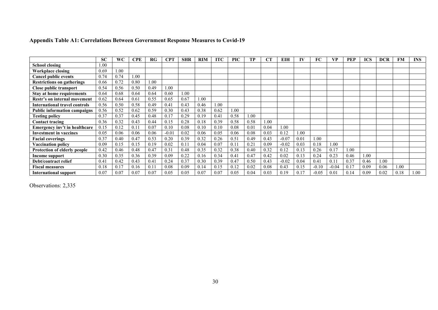|                                      | <b>SC</b> | WC       | <b>CPE</b> | RG   | CPT     | <b>SHR</b> | <b>RIM</b> | <b>ITC</b> | <b>PIC</b> | ГР   | CТ   | EIH     | IV   | FC      | VР      | PEP  | <b>ICS</b> | DCR  | <b>FM</b> | <b>INS</b> |
|--------------------------------------|-----------|----------|------------|------|---------|------------|------------|------------|------------|------|------|---------|------|---------|---------|------|------------|------|-----------|------------|
| School closing                       | 1.00      |          |            |      |         |            |            |            |            |      |      |         |      |         |         |      |            |      |           |            |
| Workplace closing                    | 0.69      | $1.00\,$ |            |      |         |            |            |            |            |      |      |         |      |         |         |      |            |      |           |            |
| Cancel public events                 | 0.74      | 0.74     | 1.00       |      |         |            |            |            |            |      |      |         |      |         |         |      |            |      |           |            |
| <b>Restrictions on gatherings</b>    | 0.66      | 0.72     | 0.80       | .00  |         |            |            |            |            |      |      |         |      |         |         |      |            |      |           |            |
| <b>Close public transport</b>        | 0.54      | 0.56     | 0.50       | 0.49 | 1.00    |            |            |            |            |      |      |         |      |         |         |      |            |      |           |            |
| <b>Stay at home requirements</b>     | 0.64      | 0.68     | 0.64       | 0.64 | 0.60    | 1.00       |            |            |            |      |      |         |      |         |         |      |            |      |           |            |
| Restr's on internal movement         | 0.62      | 0.64     | 0.61       | 0.55 | 0.65    | 0.67       | 1.00       |            |            |      |      |         |      |         |         |      |            |      |           |            |
| <b>International travel controls</b> | 0.56      | 0.50     | 0.58       | 0.49 | 0.41    | 0.43       | 0.46       | 1.00       |            |      |      |         |      |         |         |      |            |      |           |            |
| <b>Public information campaigns</b>  | 0.56      | 0.52     | 0.62       | 0.59 | 0.30    | 0.43       | 0.38       | 0.62       | 1.00       |      |      |         |      |         |         |      |            |      |           |            |
| <b>Testing policy</b>                | 0.37      | 0.37     | 0.45       | 0.48 | 0.17    | 0.29       | 0.19       | 0.4        | 0.58       | 1.00 |      |         |      |         |         |      |            |      |           |            |
| Contact tracing                      | 0.36      | 0.32     | 0.43       | 0.44 | 0.15    | 0.28       | 0.18       | 0.39       | 0.58       | 0.58 | 1.00 |         |      |         |         |      |            |      |           |            |
| Emergency inv't in healthcare        | 0.15      | 0.12     | 0.1        | 0.07 | 0.10    | 0.08       | 0.10       | 0.10       | 0.08       | 0.01 | 0.04 | 1.00    |      |         |         |      |            |      |           |            |
| <b>Investment in vaccines</b>        | 0.05      | 0.06     | 0.06       | 0.06 | $-0.01$ | 0.02       | 0.06       | 0.05       | 0.06       | 0.08 | 0.03 | 0.12    | 0.00 |         |         |      |            |      |           |            |
| <b>Facial coverings</b>              | 0.37      | 0.40     | 0.47       | 0.53 | 0.20    | 0.39       | 0.32       | 0.26       | 0.51       | 0.49 | 0.43 | $-0.07$ | 0.01 | 1.00    |         |      |            |      |           |            |
| <b>Vaccination policy</b>            | 0.09      | 0.15     | 0.15       | 0.19 | 0.02    | 0.1        | 0.04       | 0.07       | 0.11       | 0.21 | 0.09 | $-0.02$ | 0.03 | 0.18    | 1.00    |      |            |      |           |            |
| <b>Protection of elderly people</b>  | 0.42      | 0.46     | 0.48       | 0.47 | 0.31    | 0.48       | 0.35       | 0.32       | 0.38       | 0.40 | 0.32 | 0.12    | 0.13 | 0.26    | 0.17    | 1.00 |            |      |           |            |
| Income support                       | 0.30      | 0.35     | 0.36       | 0.39 | 0.09    | 0.22       | 0.16       | 0.34       | 0.41       | 0.47 | 0.42 | 0.02    | 0.13 | 0.24    | 0.23    | 0.46 | 1.00       |      |           |            |
| <b>Debt/contract relief</b>          | 0.41      | 0.42     | 0.43       | 0.41 | 0.24    | 0.37       | 0.30       | 0.39       | 0.47       | 0.50 | 0.43 | $-0.02$ | 0.04 | 0.41    | 0.1     | 0.37 | 0.46       | 1.00 |           |            |
| <b>Fiscal measures</b>               | 0.18      | 0.17     | 0.16       | 0.11 | 0.08    | 0.09       | 0.14       | 0.15       | 0.12       | 0.02 | 0.08 | 0.43    | 0.15 | $-0.10$ | $-0.04$ | 0.17 | 0.09       | 0.06 | 1.00      |            |
| <b>International support</b>         | 0.07      | 0.07     | 0.07       | 0.07 | 0.05    | 0.05       | 0.07       | 0.07       | 0.05       | 0.04 | 0.03 | 0.19    | 0.17 | $-0.05$ | 0.0     | 0.14 | 0.09       | 0.02 | 0.18      | 1.00       |

# **Appendix Table A1: Correlations Between Government Response Measures to Covid-19**

Observations: 2,335